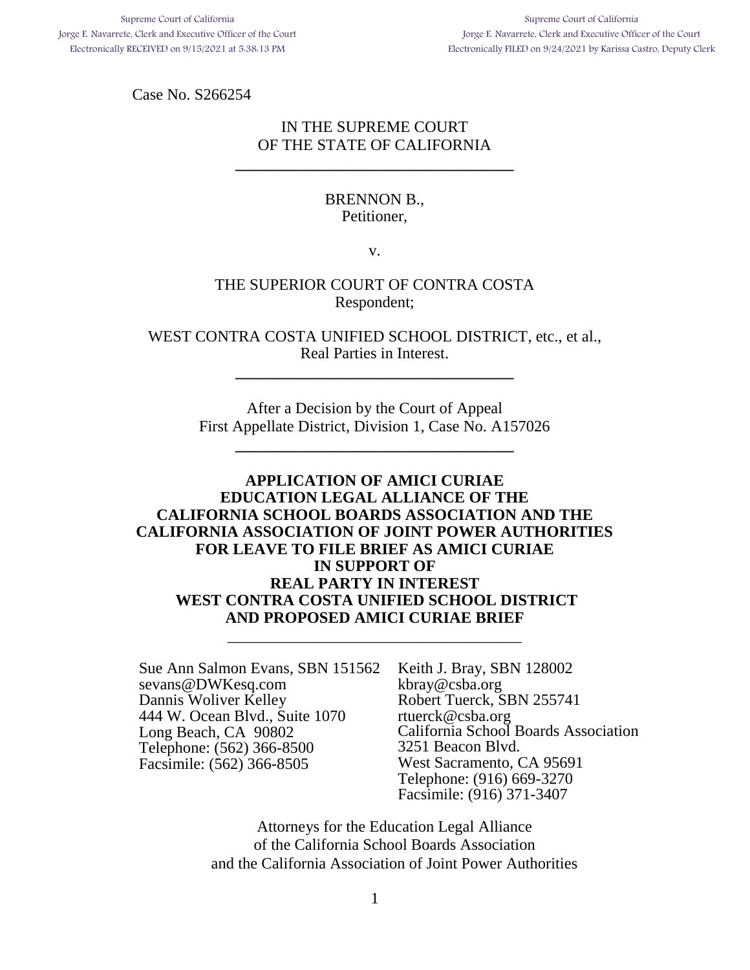Case No. S266254

## IN THE SUPREME COURT OF THE STATE OF CALIFORNIA

**\_\_\_\_\_\_\_\_\_\_\_\_\_\_\_\_\_\_\_\_\_\_\_\_\_\_\_\_\_\_\_\_\_\_\_**

## BRENNON B., Petitioner,

v.

## THE SUPERIOR COURT OF CONTRA COSTA Respondent;

WEST CONTRA COSTA UNIFIED SCHOOL DISTRICT, etc., et al., Real Parties in Interest.

**\_\_\_\_\_\_\_\_\_\_\_\_\_\_\_\_\_\_\_\_\_\_\_\_\_\_\_\_\_\_\_\_\_\_\_**

After a Decision by the Court of Appeal First Appellate District, Division 1, Case No. A157026

**\_\_\_\_\_\_\_\_\_\_\_\_\_\_\_\_\_\_\_\_\_\_\_\_\_\_\_\_\_\_\_\_\_\_\_**

## **APPLICATION OF AMICI CURIAE EDUCATION LEGAL ALLIANCE OF THE CALIFORNIA SCHOOL BOARDS ASSOCIATION AND THE CALIFORNIA ASSOCIATION OF JOINT POWER AUTHORITIES FOR LEAVE TO FILE BRIEF AS AMICI CURIAE IN SUPPORT OF REAL PARTY IN INTEREST WEST CONTRA COSTA UNIFIED SCHOOL DISTRICT AND PROPOSED AMICI CURIAE BRIEF**

\_\_\_\_\_\_\_\_\_\_\_\_\_\_\_\_\_\_\_\_\_\_\_\_\_\_\_\_\_\_\_\_\_\_\_\_\_

Sue Ann Salmon Evans, SBN 151562 sevans@DWKesq.com Dannis Woliver Kelley 444 W. Ocean Blvd., Suite 1070 Long Beach, CA 90802 Telephone: (562) 366-8500 Facsimile: (562) 366-8505

Keith J. Bray, SBN 128002 kbray@csba.org Robert Tuerck, SBN 255741 rtuerck@csba.org California School Boards Association 3251 Beacon Blvd. West Sacramento, CA 95691 Telephone: (916) 669-3270 Facsimile: (916) 371-3407

Attorneys for the Education Legal Alliance of the California School Boards Association and the California Association of Joint Power Authorities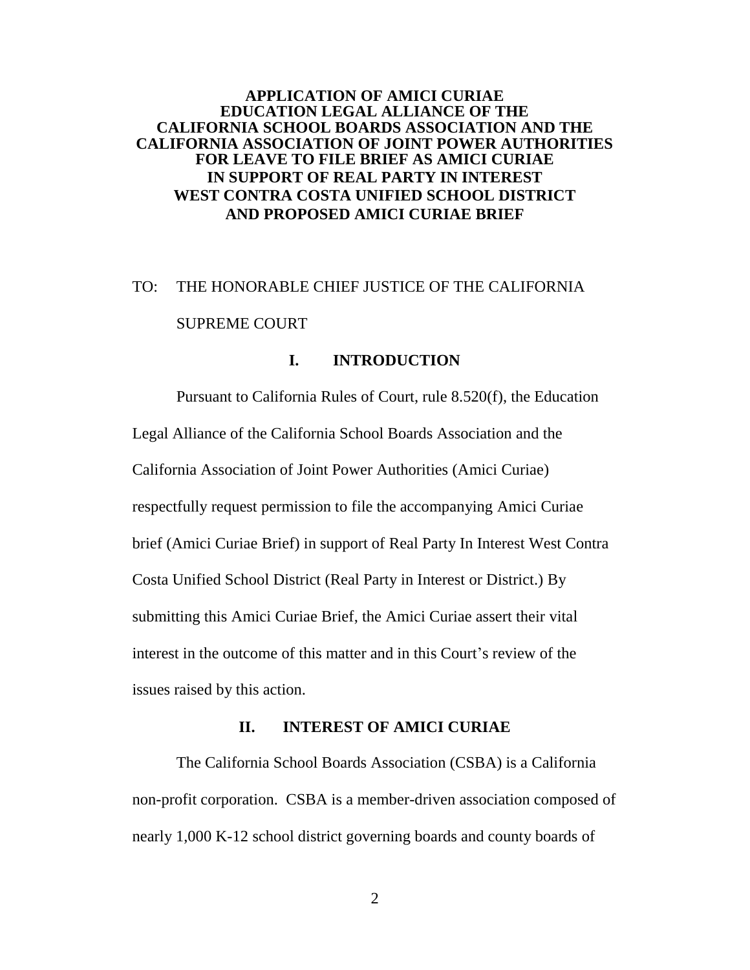## **APPLICATION OF AMICI CURIAE EDUCATION LEGAL ALLIANCE OF THE CALIFORNIA SCHOOL BOARDS ASSOCIATION AND THE CALIFORNIA ASSOCIATION OF JOINT POWER AUTHORITIES FOR LEAVE TO FILE BRIEF AS AMICI CURIAE IN SUPPORT OF REAL PARTY IN INTEREST WEST CONTRA COSTA UNIFIED SCHOOL DISTRICT AND PROPOSED AMICI CURIAE BRIEF**

# TO: THE HONORABLE CHIEF JUSTICE OF THE CALIFORNIA SUPREME COURT

## **I. INTRODUCTION**

Pursuant to California Rules of Court, rule 8.520(f), the Education Legal Alliance of the California School Boards Association and the California Association of Joint Power Authorities (Amici Curiae) respectfully request permission to file the accompanying Amici Curiae brief (Amici Curiae Brief) in support of Real Party In Interest West Contra Costa Unified School District (Real Party in Interest or District.) By submitting this Amici Curiae Brief, the Amici Curiae assert their vital interest in the outcome of this matter and in this Court's review of the issues raised by this action.

#### **II. INTEREST OF AMICI CURIAE**

The California School Boards Association (CSBA) is a California non-profit corporation. CSBA is a member-driven association composed of nearly 1,000 K-12 school district governing boards and county boards of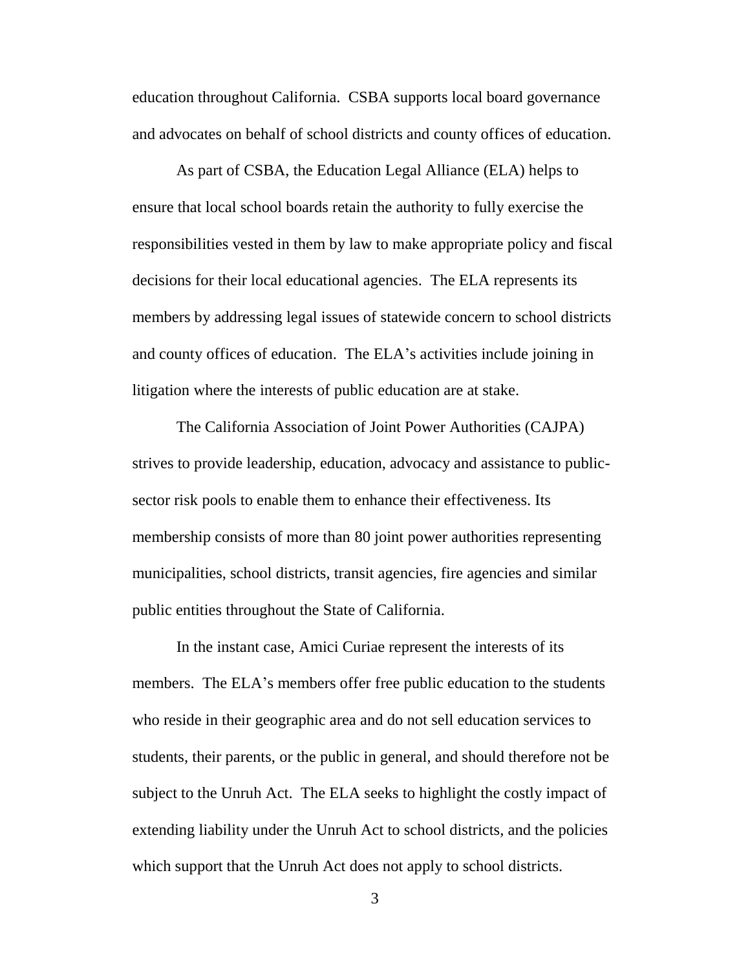education throughout California. CSBA supports local board governance and advocates on behalf of school districts and county offices of education.

As part of CSBA, the Education Legal Alliance (ELA) helps to ensure that local school boards retain the authority to fully exercise the responsibilities vested in them by law to make appropriate policy and fiscal decisions for their local educational agencies. The ELA represents its members by addressing legal issues of statewide concern to school districts and county offices of education. The ELA's activities include joining in litigation where the interests of public education are at stake.

The California Association of Joint Power Authorities (CAJPA) strives to provide leadership, education, advocacy and assistance to publicsector risk pools to enable them to enhance their effectiveness. Its membership consists of more than 80 joint power authorities representing municipalities, school districts, transit agencies, fire agencies and similar public entities throughout the State of California.

In the instant case, Amici Curiae represent the interests of its members. The ELA's members offer free public education to the students who reside in their geographic area and do not sell education services to students, their parents, or the public in general, and should therefore not be subject to the Unruh Act. The ELA seeks to highlight the costly impact of extending liability under the Unruh Act to school districts, and the policies which support that the Unruh Act does not apply to school districts.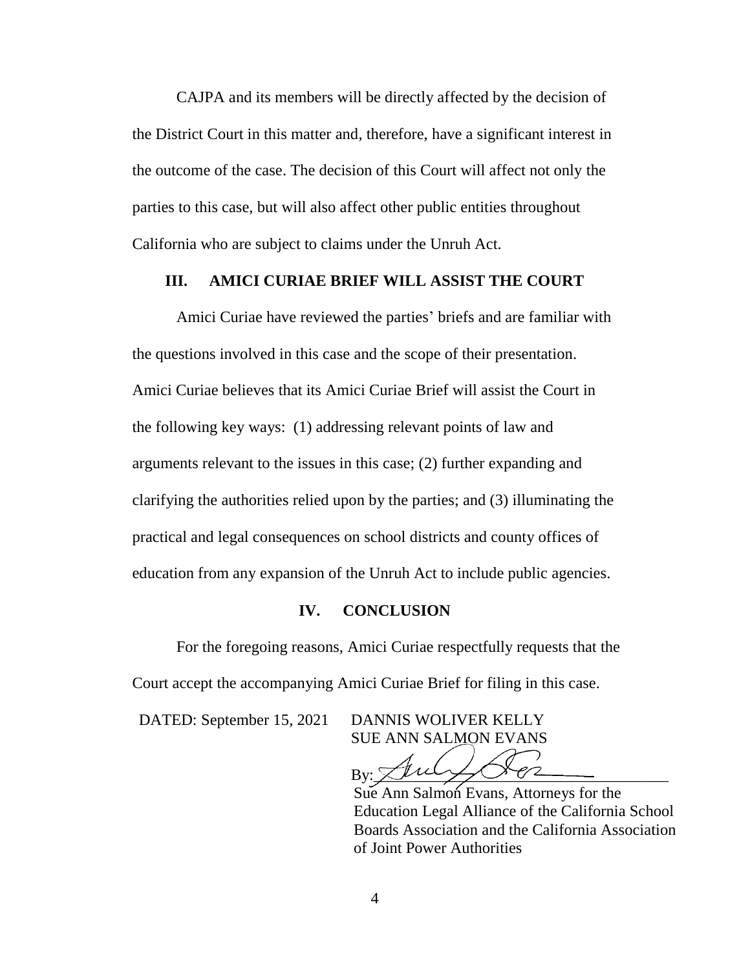CAJPA and its members will be directly affected by the decision of the District Court in this matter and, therefore, have a significant interest in the outcome of the case. The decision of this Court will affect not only the parties to this case, but will also affect other public entities throughout California who are subject to claims under the Unruh Act.

### **III. AMICI CURIAE BRIEF WILL ASSIST THE COURT**

Amici Curiae have reviewed the parties' briefs and are familiar with the questions involved in this case and the scope of their presentation. Amici Curiae believes that its Amici Curiae Brief will assist the Court in the following key ways: (1) addressing relevant points of law and arguments relevant to the issues in this case; (2) further expanding and clarifying the authorities relied upon by the parties; and (3) illuminating the practical and legal consequences on school districts and county offices of education from any expansion of the Unruh Act to include public agencies.

#### **IV. CONCLUSION**

For the foregoing reasons, Amici Curiae respectfully requests that the Court accept the accompanying Amici Curiae Brief for filing in this case.

DATED: September 15, 2021 DANNIS WOLIVER KELLY

SUE ANN SALMON EVANS

 $By: 20027882$ 

Sue Ann Salmon Evans, Attorneys for the Education Legal Alliance of the California School Boards Association and the California Association of Joint Power Authorities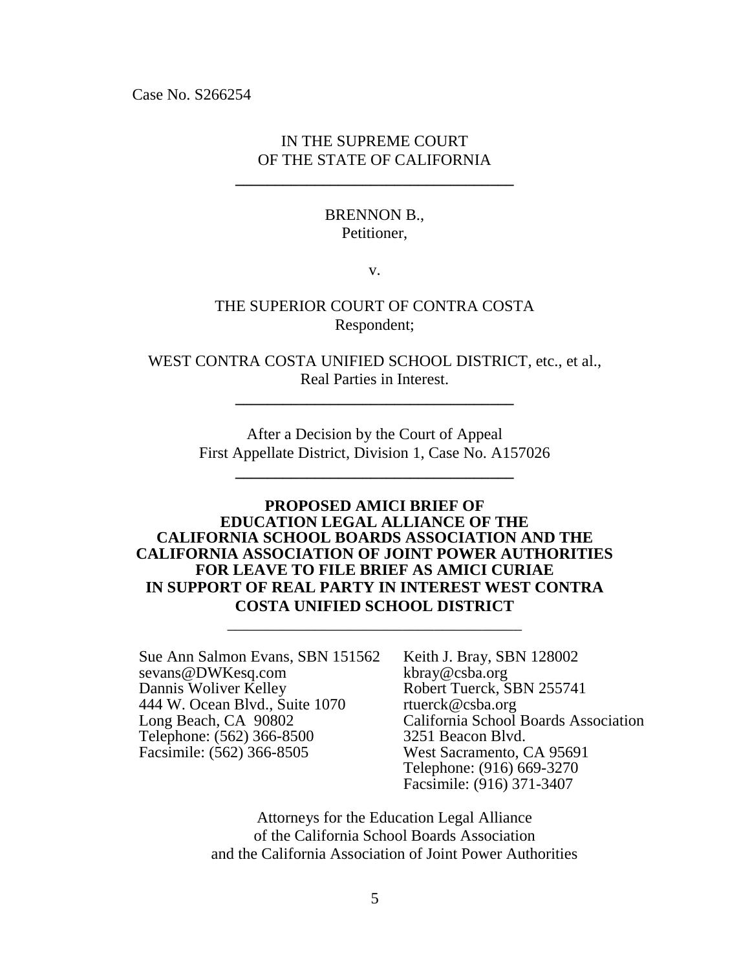Case No. S266254

## IN THE SUPREME COURT OF THE STATE OF CALIFORNIA

**\_\_\_\_\_\_\_\_\_\_\_\_\_\_\_\_\_\_\_\_\_\_\_\_\_\_\_\_\_\_\_\_\_\_\_**

## BRENNON B., Petitioner,

v.

## THE SUPERIOR COURT OF CONTRA COSTA Respondent;

WEST CONTRA COSTA UNIFIED SCHOOL DISTRICT, etc., et al., Real Parties in Interest.

**\_\_\_\_\_\_\_\_\_\_\_\_\_\_\_\_\_\_\_\_\_\_\_\_\_\_\_\_\_\_\_\_\_\_\_**

After a Decision by the Court of Appeal First Appellate District, Division 1, Case No. A157026

**\_\_\_\_\_\_\_\_\_\_\_\_\_\_\_\_\_\_\_\_\_\_\_\_\_\_\_\_\_\_\_\_\_\_\_**

## **PROPOSED AMICI BRIEF OF EDUCATION LEGAL ALLIANCE OF THE CALIFORNIA SCHOOL BOARDS ASSOCIATION AND THE CALIFORNIA ASSOCIATION OF JOINT POWER AUTHORITIES FOR LEAVE TO FILE BRIEF AS AMICI CURIAE IN SUPPORT OF REAL PARTY IN INTEREST WEST CONTRA COSTA UNIFIED SCHOOL DISTRICT**

\_\_\_\_\_\_\_\_\_\_\_\_\_\_\_\_\_\_\_\_\_\_\_\_\_\_\_\_\_\_\_\_\_\_\_\_\_

Sue Ann Salmon Evans, SBN 151562 sevans@DWKesq.com Dannis Woliver Kelley 444 W. Ocean Blvd., Suite 1070 Long Beach, CA 90802 Telephone: (562) 366-8500 Facsimile: (562) 366-8505

Keith J. Bray, SBN 128002 kbray@csba.org Robert Tuerck, SBN 255741 rtuerck@csba.org California School Boards Association 3251 Beacon Blvd. West Sacramento, CA 95691 Telephone: (916) 669-3270 Facsimile: (916) 371-3407

Attorneys for the Education Legal Alliance of the California School Boards Association and the California Association of Joint Power Authorities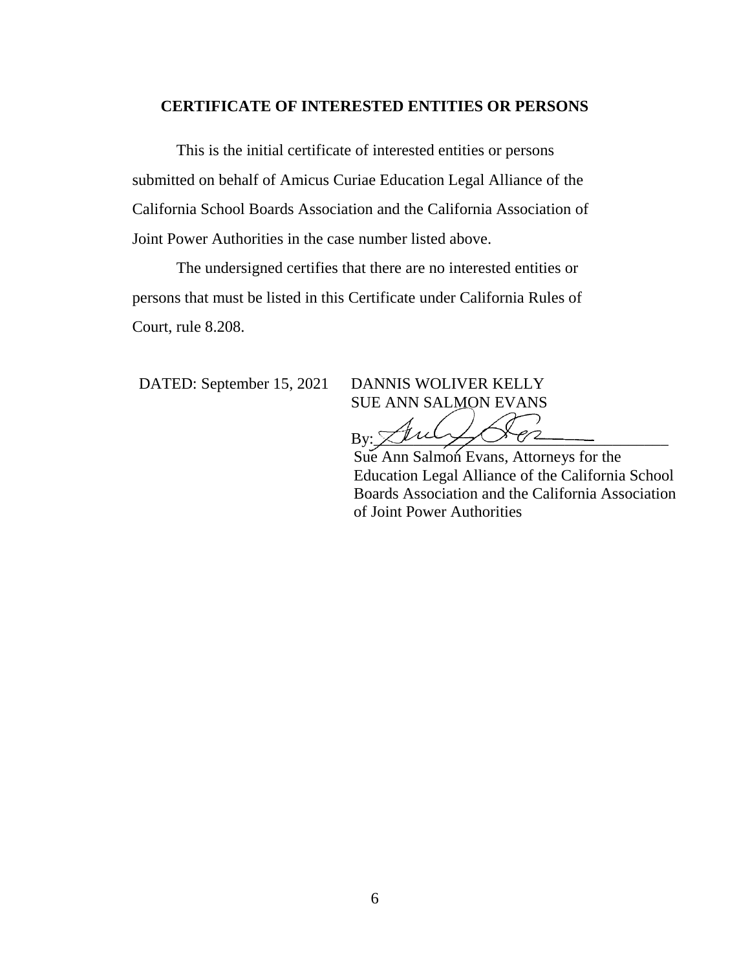#### **CERTIFICATE OF INTERESTED ENTITIES OR PERSONS**

This is the initial certificate of interested entities or persons submitted on behalf of Amicus Curiae Education Legal Alliance of the California School Boards Association and the California Association of Joint Power Authorities in the case number listed above.

The undersigned certifies that there are no interested entities or persons that must be listed in this Certificate under California Rules of Court, rule 8.208.

DATED: September 15, 2021 DANNIS WOLIVER KELLY

SUE ANN SALMON EVANS

 $B_V: \cancel{\preceq} \mathcal{U}$ rel

Sue Ann Salmon Evans, Attorneys for the Education Legal Alliance of the California School Boards Association and the California Association of Joint Power Authorities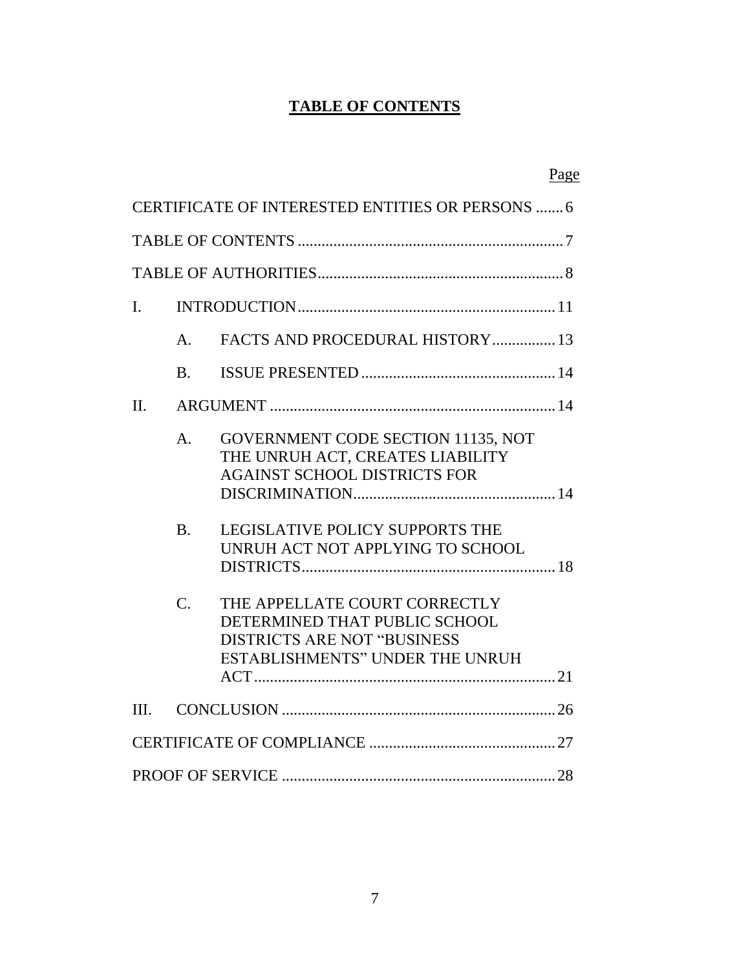# **TABLE OF CONTENTS**

|                |                  |                                                                                                                                                 | Page |
|----------------|------------------|-------------------------------------------------------------------------------------------------------------------------------------------------|------|
|                |                  | CERTIFICATE OF INTERESTED ENTITIES OR PERSONS  6                                                                                                |      |
|                |                  |                                                                                                                                                 |      |
|                |                  |                                                                                                                                                 |      |
| $\mathbf{I}$ . |                  |                                                                                                                                                 |      |
|                | A.               | FACTS AND PROCEDURAL HISTORY 13                                                                                                                 |      |
|                | <b>B.</b>        |                                                                                                                                                 |      |
| $\Pi$ .        |                  |                                                                                                                                                 |      |
|                | $\mathsf{A}$ .   | <b>GOVERNMENT CODE SECTION 11135, NOT</b><br>THE UNRUH ACT, CREATES LIABILITY<br><b>AGAINST SCHOOL DISTRICTS FOR</b>                            |      |
|                | B.               | <b>LEGISLATIVE POLICY SUPPORTS THE</b><br>UNRUH ACT NOT APPLYING TO SCHOOL                                                                      |      |
|                | $\overline{C}$ . | THE APPELLATE COURT CORRECTLY<br>DETERMINED THAT PUBLIC SCHOOL<br><b>DISTRICTS ARE NOT "BUSINESS"</b><br><b>ESTABLISHMENTS" UNDER THE UNRUH</b> |      |
| III.           |                  |                                                                                                                                                 |      |
|                |                  |                                                                                                                                                 |      |
|                |                  |                                                                                                                                                 |      |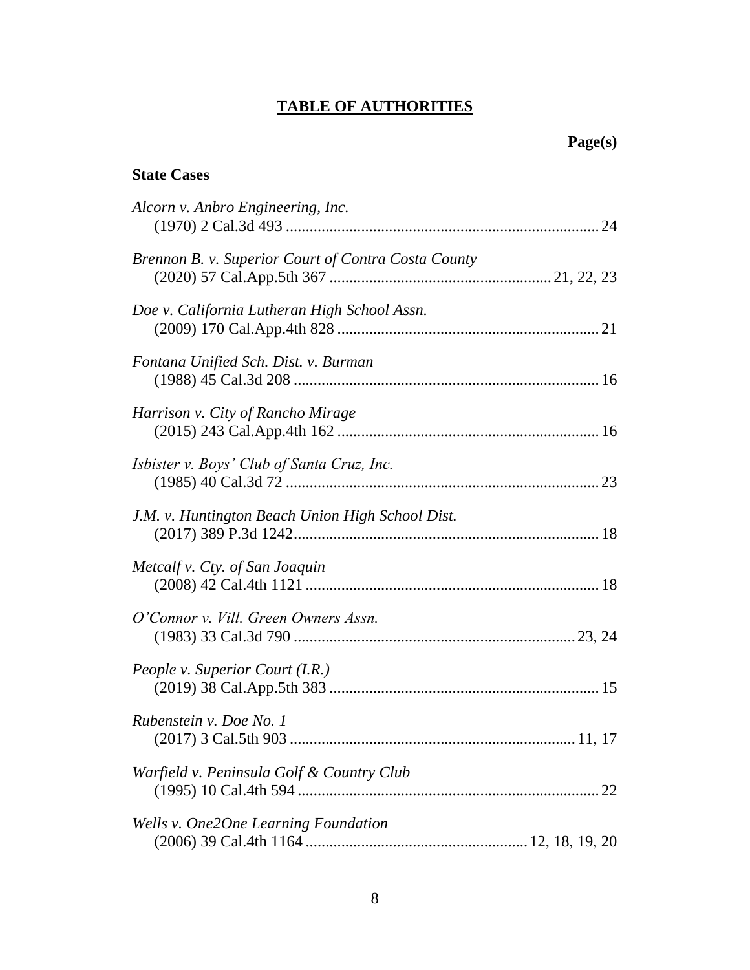# **TABLE OF AUTHORITIES**

## **State Cases**

| Alcorn v. Anbro Engineering, Inc.                   |
|-----------------------------------------------------|
| Brennon B. v. Superior Court of Contra Costa County |
| Doe v. California Lutheran High School Assn.        |
| Fontana Unified Sch. Dist. v. Burman                |
| Harrison v. City of Rancho Mirage                   |
| Isbister v. Boys' Club of Santa Cruz, Inc.          |
| J.M. v. Huntington Beach Union High School Dist.    |
| Metcalf v. Cty. of San Joaquin                      |
| O'Connor v. Vill. Green Owners Assn.                |
| People v. Superior Court (I.R.)                     |
| Rubenstein v. Doe No. 1                             |
| Warfield v. Peninsula Golf & Country Club           |
| Wells v. One2One Learning Foundation                |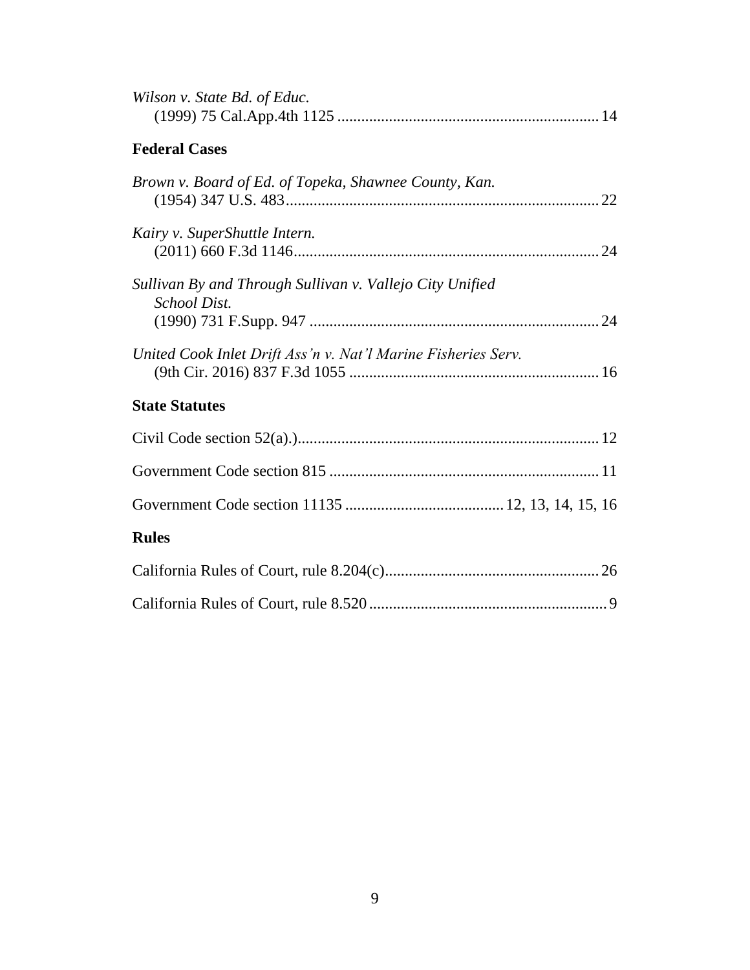| Wilson v. State Bd. of Educ.                                                    |  |
|---------------------------------------------------------------------------------|--|
| <b>Federal Cases</b>                                                            |  |
| Brown v. Board of Ed. of Topeka, Shawnee County, Kan.                           |  |
| Kairy v. SuperShuttle Intern.                                                   |  |
| Sullivan By and Through Sullivan v. Vallejo City Unified<br><b>School Dist.</b> |  |
| United Cook Inlet Drift Ass'n v. Nat'l Marine Fisheries Serv.                   |  |
| <b>State Statutes</b>                                                           |  |
|                                                                                 |  |
|                                                                                 |  |
|                                                                                 |  |
| <b>Rules</b>                                                                    |  |
|                                                                                 |  |
|                                                                                 |  |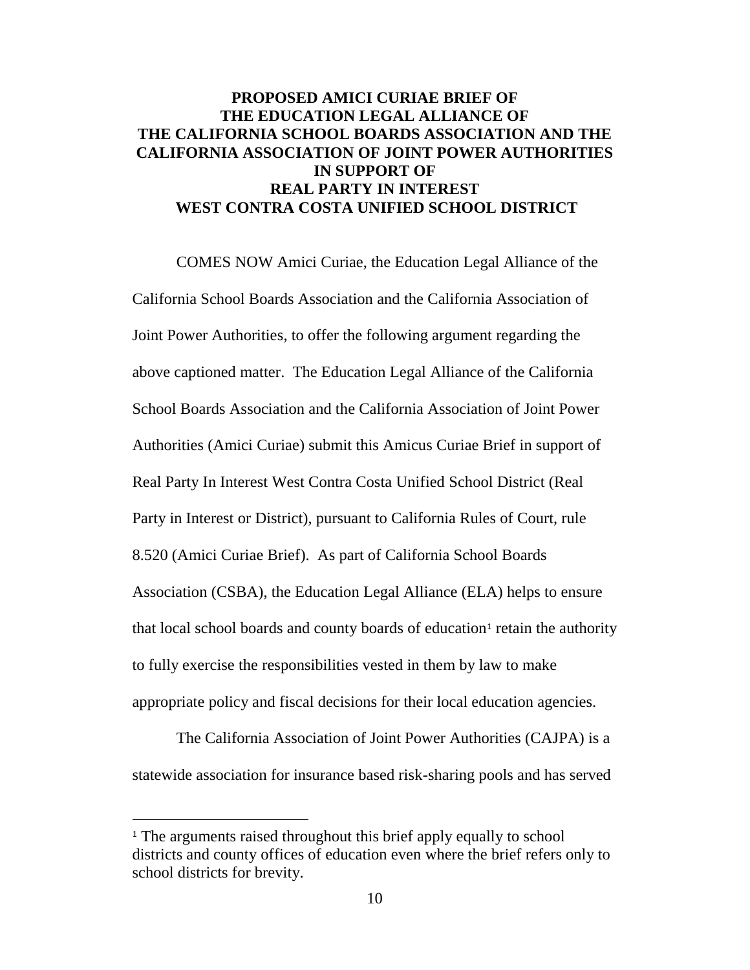## **PROPOSED AMICI CURIAE BRIEF OF THE EDUCATION LEGAL ALLIANCE OF THE CALIFORNIA SCHOOL BOARDS ASSOCIATION AND THE CALIFORNIA ASSOCIATION OF JOINT POWER AUTHORITIES IN SUPPORT OF REAL PARTY IN INTEREST WEST CONTRA COSTA UNIFIED SCHOOL DISTRICT**

COMES NOW Amici Curiae, the Education Legal Alliance of the California School Boards Association and the California Association of Joint Power Authorities, to offer the following argument regarding the above captioned matter. The Education Legal Alliance of the California School Boards Association and the California Association of Joint Power Authorities (Amici Curiae) submit this Amicus Curiae Brief in support of Real Party In Interest West Contra Costa Unified School District (Real Party in Interest or District), pursuant to California Rules of Court, rule 8.520 (Amici Curiae Brief). As part of California School Boards Association (CSBA), the Education Legal Alliance (ELA) helps to ensure that local school boards and county boards of education<sup>1</sup> retain the authority to fully exercise the responsibilities vested in them by law to make appropriate policy and fiscal decisions for their local education agencies.

The California Association of Joint Power Authorities (CAJPA) is a statewide association for insurance based risk-sharing pools and has served

<sup>&</sup>lt;sup>1</sup> The arguments raised throughout this brief apply equally to school districts and county offices of education even where the brief refers only to school districts for brevity.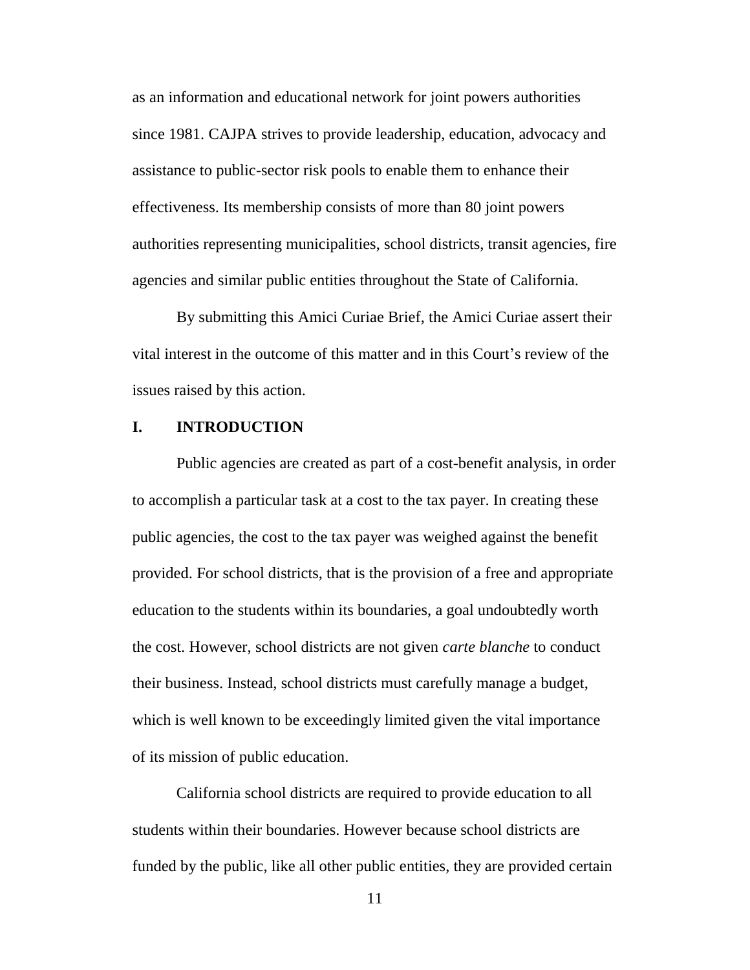as an information and educational network for joint powers authorities since 1981. CAJPA strives to provide leadership, education, advocacy and assistance to public-sector risk pools to enable them to enhance their effectiveness. Its membership consists of more than 80 joint powers authorities representing municipalities, school districts, transit agencies, fire agencies and similar public entities throughout the State of California.

By submitting this Amici Curiae Brief, the Amici Curiae assert their vital interest in the outcome of this matter and in this Court's review of the issues raised by this action.

## **I. INTRODUCTION**

Public agencies are created as part of a cost-benefit analysis, in order to accomplish a particular task at a cost to the tax payer. In creating these public agencies, the cost to the tax payer was weighed against the benefit provided. For school districts, that is the provision of a free and appropriate education to the students within its boundaries, a goal undoubtedly worth the cost. However, school districts are not given *carte blanche* to conduct their business. Instead, school districts must carefully manage a budget, which is well known to be exceedingly limited given the vital importance of its mission of public education.

California school districts are required to provide education to all students within their boundaries. However because school districts are funded by the public, like all other public entities, they are provided certain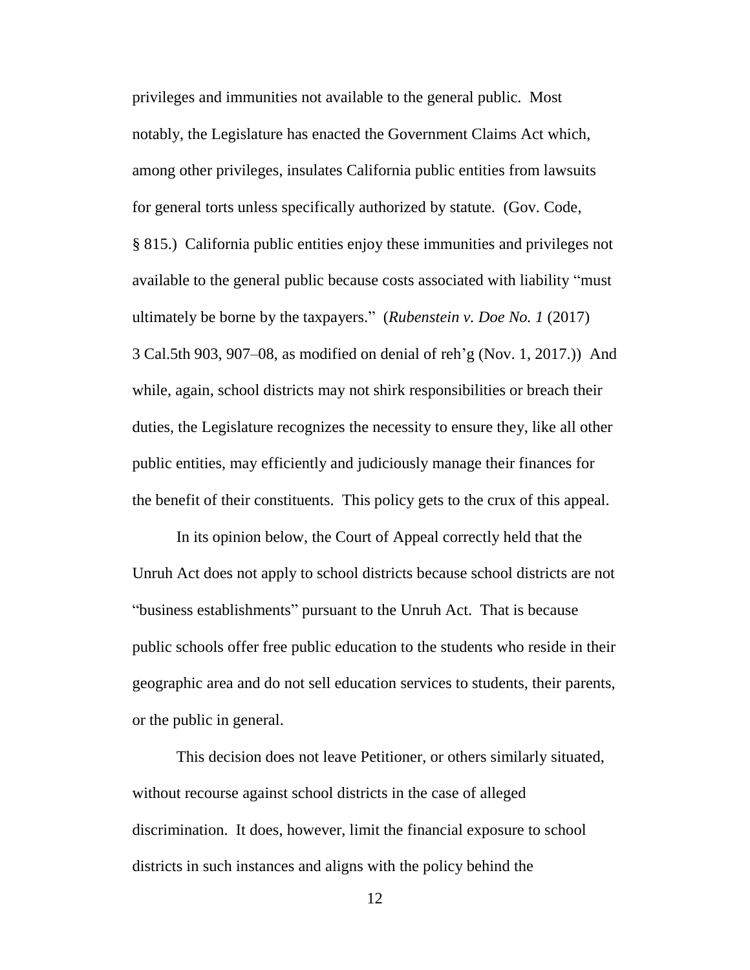privileges and immunities not available to the general public. Most notably, the Legislature has enacted the Government Claims Act which, among other privileges, insulates California public entities from lawsuits for general torts unless specifically authorized by statute. (Gov. Code, § 815.) California public entities enjoy these immunities and privileges not available to the general public because costs associated with liability "must ultimately be borne by the taxpayers." (*Rubenstein v. Doe No. 1* (2017) 3 Cal.5th 903, 907–08, as modified on denial of reh'g (Nov. 1, 2017.)) And while, again, school districts may not shirk responsibilities or breach their duties, the Legislature recognizes the necessity to ensure they, like all other public entities, may efficiently and judiciously manage their finances for the benefit of their constituents. This policy gets to the crux of this appeal.

In its opinion below, the Court of Appeal correctly held that the Unruh Act does not apply to school districts because school districts are not "business establishments" pursuant to the Unruh Act. That is because public schools offer free public education to the students who reside in their geographic area and do not sell education services to students, their parents, or the public in general.

This decision does not leave Petitioner, or others similarly situated, without recourse against school districts in the case of alleged discrimination. It does, however, limit the financial exposure to school districts in such instances and aligns with the policy behind the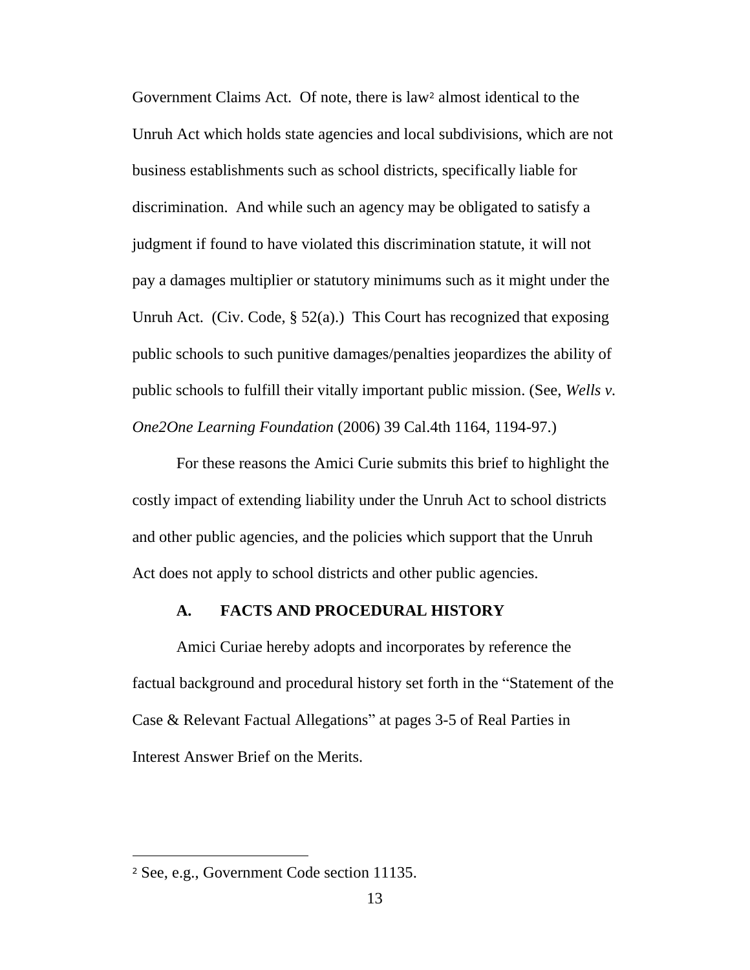Government Claims Act. Of note, there is law<sup>2</sup> almost identical to the Unruh Act which holds state agencies and local subdivisions, which are not business establishments such as school districts, specifically liable for discrimination. And while such an agency may be obligated to satisfy a judgment if found to have violated this discrimination statute, it will not pay a damages multiplier or statutory minimums such as it might under the Unruh Act. (Civ. Code,  $\S$  52(a).) This Court has recognized that exposing public schools to such punitive damages/penalties jeopardizes the ability of public schools to fulfill their vitally important public mission. (See, *Wells v. One2One Learning Foundation* (2006) 39 Cal.4th 1164, 1194-97.)

For these reasons the Amici Curie submits this brief to highlight the costly impact of extending liability under the Unruh Act to school districts and other public agencies, and the policies which support that the Unruh Act does not apply to school districts and other public agencies.

#### **A. FACTS AND PROCEDURAL HISTORY**

Amici Curiae hereby adopts and incorporates by reference the factual background and procedural history set forth in the "Statement of the Case & Relevant Factual Allegations" at pages 3-5 of Real Parties in Interest Answer Brief on the Merits.

 $\overline{a}$ 

<sup>2</sup> See, e.g., Government Code section 11135.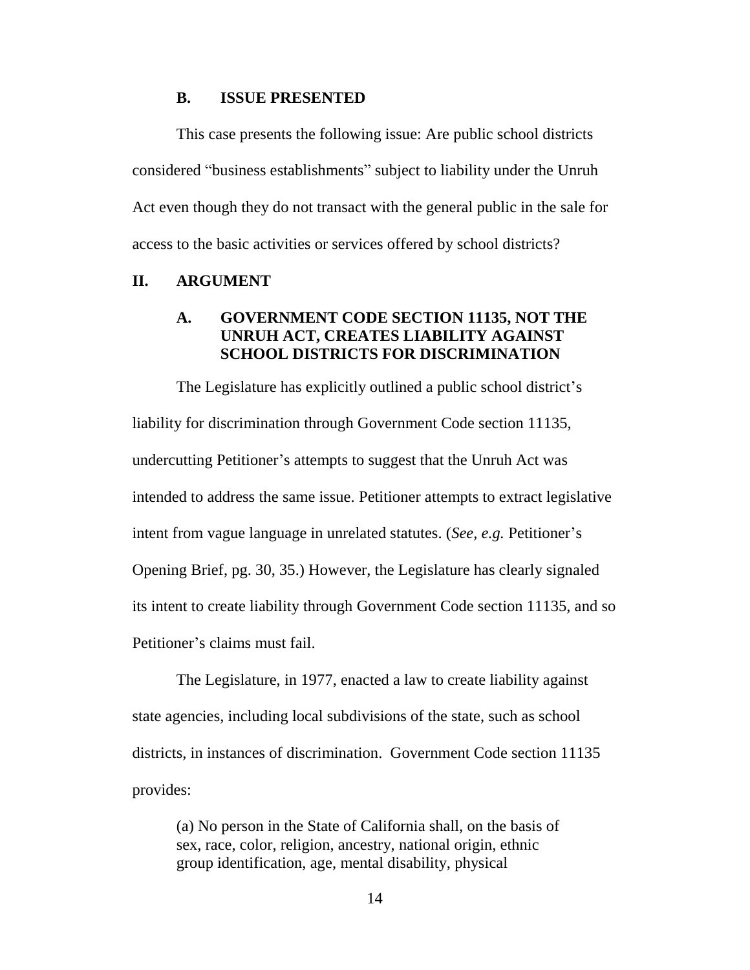#### **B. ISSUE PRESENTED**

This case presents the following issue: Are public school districts considered "business establishments" subject to liability under the Unruh Act even though they do not transact with the general public in the sale for access to the basic activities or services offered by school districts?

## **II. ARGUMENT**

## **A. GOVERNMENT CODE SECTION 11135, NOT THE UNRUH ACT, CREATES LIABILITY AGAINST SCHOOL DISTRICTS FOR DISCRIMINATION**

The Legislature has explicitly outlined a public school district's liability for discrimination through Government Code section 11135, undercutting Petitioner's attempts to suggest that the Unruh Act was intended to address the same issue. Petitioner attempts to extract legislative intent from vague language in unrelated statutes. (*See, e.g.* Petitioner's Opening Brief, pg. 30, 35.) However, the Legislature has clearly signaled its intent to create liability through Government Code section 11135, and so Petitioner's claims must fail.

The Legislature, in 1977, enacted a law to create liability against state agencies, including local subdivisions of the state, such as school districts, in instances of discrimination. Government Code section 11135 provides:

(a) No person in the State of California shall, on the basis of sex, race, color, religion, ancestry, national origin, ethnic group identification, age, mental disability, physical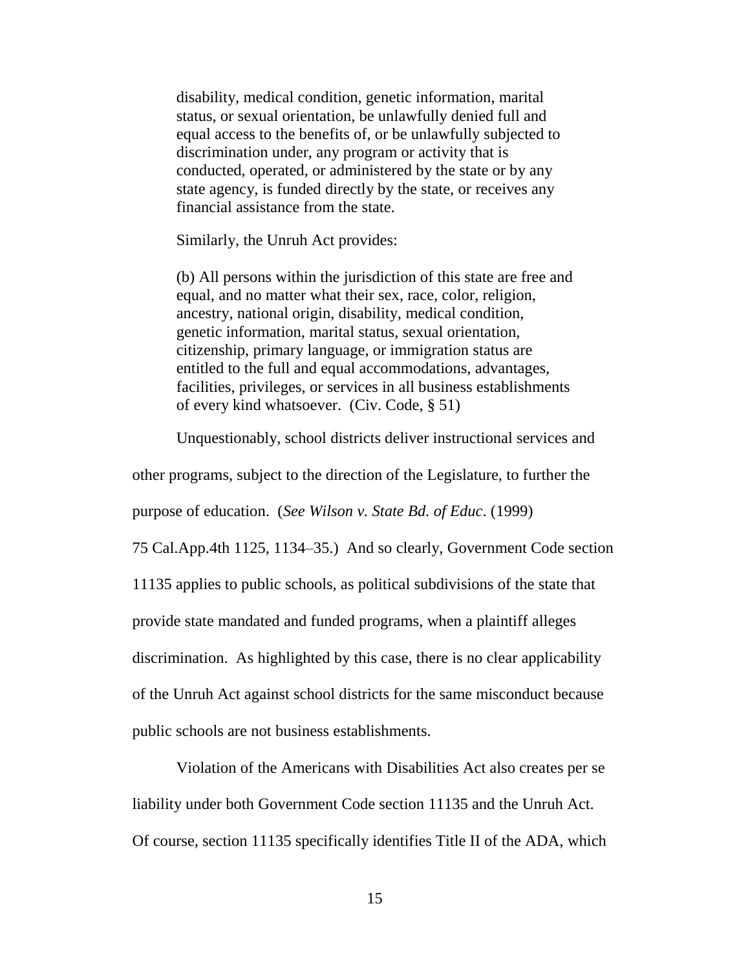disability, medical condition, genetic information, marital status, or sexual orientation, be unlawfully denied full and equal access to the benefits of, or be unlawfully subjected to discrimination under, any program or activity that is conducted, operated, or administered by the state or by any state agency, is funded directly by the state, or receives any financial assistance from the state.

Similarly, the Unruh Act provides:

(b) All persons within the jurisdiction of this state are free and equal, and no matter what their sex, race, color, religion, ancestry, national origin, disability, medical condition, genetic information, marital status, sexual orientation, citizenship, primary language, or immigration status are entitled to the full and equal accommodations, advantages, facilities, privileges, or services in all business establishments of every kind whatsoever. (Civ. Code, § 51)

Unquestionably, school districts deliver instructional services and

other programs, subject to the direction of the Legislature, to further the

purpose of education. (*See Wilson v. State Bd. of Educ*. (1999)

75 Cal.App.4th 1125, 1134–35.) And so clearly, Government Code section 11135 applies to public schools, as political subdivisions of the state that provide state mandated and funded programs, when a plaintiff alleges discrimination. As highlighted by this case, there is no clear applicability of the Unruh Act against school districts for the same misconduct because public schools are not business establishments.

Violation of the Americans with Disabilities Act also creates per se liability under both Government Code section 11135 and the Unruh Act. Of course, section 11135 specifically identifies Title II of the ADA, which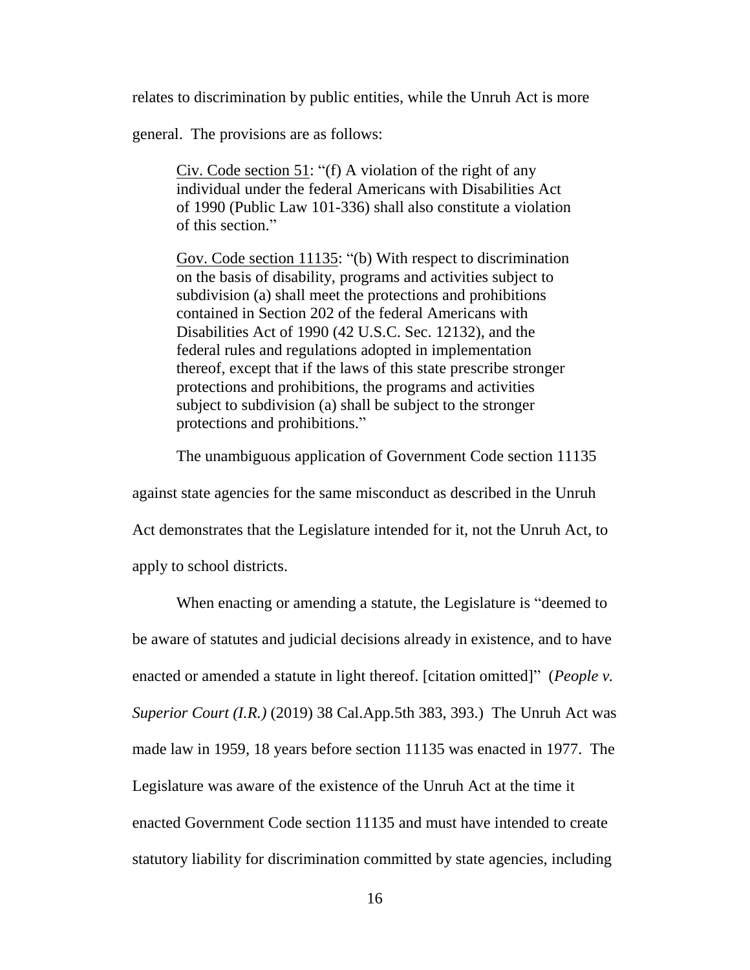relates to discrimination by public entities, while the Unruh Act is more

general. The provisions are as follows:

Civ. Code section 51: "(f) A violation of the right of any individual under the federal Americans with Disabilities Act of 1990 (Public Law 101-336) shall also constitute a violation of this section."

Gov. Code section 11135: "(b) With respect to discrimination on the basis of disability, programs and activities subject to subdivision (a) shall meet the protections and prohibitions contained in Section 202 of the federal Americans with Disabilities Act of 1990 (42 U.S.C. Sec. 12132), and the federal rules and regulations adopted in implementation thereof, except that if the laws of this state prescribe stronger protections and prohibitions, the programs and activities subject to subdivision (a) shall be subject to the stronger protections and prohibitions."

The unambiguous application of Government Code section 11135

against state agencies for the same misconduct as described in the Unruh Act demonstrates that the Legislature intended for it, not the Unruh Act, to apply to school districts.

When enacting or amending a statute, the Legislature is "deemed to be aware of statutes and judicial decisions already in existence, and to have enacted or amended a statute in light thereof. [citation omitted]" (*People v. Superior Court (I.R.)* (2019) 38 Cal.App.5th 383, 393.) The Unruh Act was made law in 1959, 18 years before section 11135 was enacted in 1977. The Legislature was aware of the existence of the Unruh Act at the time it enacted Government Code section 11135 and must have intended to create statutory liability for discrimination committed by state agencies, including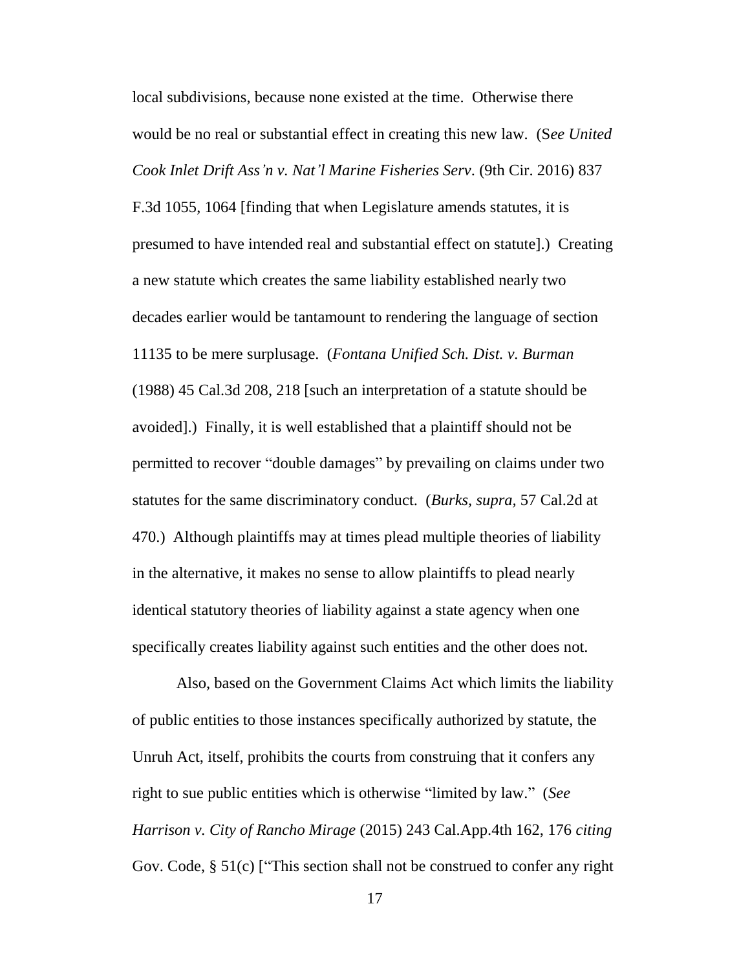local subdivisions, because none existed at the time. Otherwise there would be no real or substantial effect in creating this new law. (S*ee United Cook Inlet Drift Ass'n v. Nat'l Marine Fisheries Serv*. (9th Cir. 2016) 837

F.3d 1055, 1064 [finding that when Legislature amends statutes, it is presumed to have intended real and substantial effect on statute].) Creating a new statute which creates the same liability established nearly two decades earlier would be tantamount to rendering the language of section 11135 to be mere surplusage. (*Fontana Unified Sch. Dist. v. Burman* (1988) 45 Cal.3d 208, 218 [such an interpretation of a statute should be avoided].) Finally, it is well established that a plaintiff should not be permitted to recover "double damages" by prevailing on claims under two statutes for the same discriminatory conduct. (*Burks, supra,* 57 Cal.2d at 470.) Although plaintiffs may at times plead multiple theories of liability in the alternative, it makes no sense to allow plaintiffs to plead nearly identical statutory theories of liability against a state agency when one specifically creates liability against such entities and the other does not.

Also, based on the Government Claims Act which limits the liability of public entities to those instances specifically authorized by statute, the Unruh Act, itself, prohibits the courts from construing that it confers any right to sue public entities which is otherwise "limited by law." (*See Harrison v. City of Rancho Mirage* (2015) 243 Cal.App.4th 162, 176 *citing* Gov. Code, § 51(c) ["This section shall not be construed to confer any right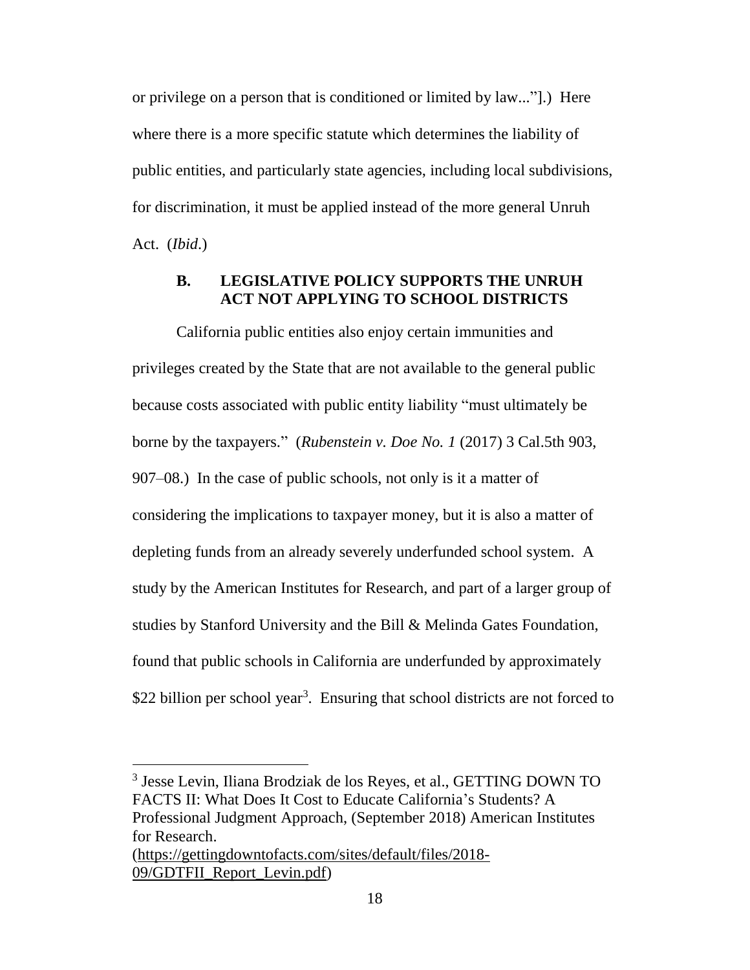or privilege on a person that is conditioned or limited by law..."].) Here where there is a more specific statute which determines the liability of public entities, and particularly state agencies, including local subdivisions, for discrimination, it must be applied instead of the more general Unruh Act. (*Ibid*.)

## **B. LEGISLATIVE POLICY SUPPORTS THE UNRUH ACT NOT APPLYING TO SCHOOL DISTRICTS**

California public entities also enjoy certain immunities and privileges created by the State that are not available to the general public because costs associated with public entity liability "must ultimately be borne by the taxpayers." (*Rubenstein v. Doe No. 1* (2017) 3 Cal.5th 903, 907–08.) In the case of public schools, not only is it a matter of considering the implications to taxpayer money, but it is also a matter of depleting funds from an already severely underfunded school system. A study by the American Institutes for Research, and part of a larger group of studies by Stanford University and the Bill & Melinda Gates Foundation, found that public schools in California are underfunded by approximately \$22 billion per school year<sup>3</sup>. Ensuring that school districts are not forced to

<sup>3</sup> Jesse Levin, Iliana Brodziak de los Reyes, et al., GETTING DOWN TO FACTS II: What Does It Cost to Educate California's Students? A Professional Judgment Approach, (September 2018) American Institutes for Research.

[<sup>\(</sup>https://gettingdowntofacts.com/sites/default/files/2018-](https://gettingdowntofacts.com/sites/default/files/2018-09/GDTFII_Report_Levin.pdf) [09/GDTFII\\_Report\\_Levin.pdf\)](https://gettingdowntofacts.com/sites/default/files/2018-09/GDTFII_Report_Levin.pdf)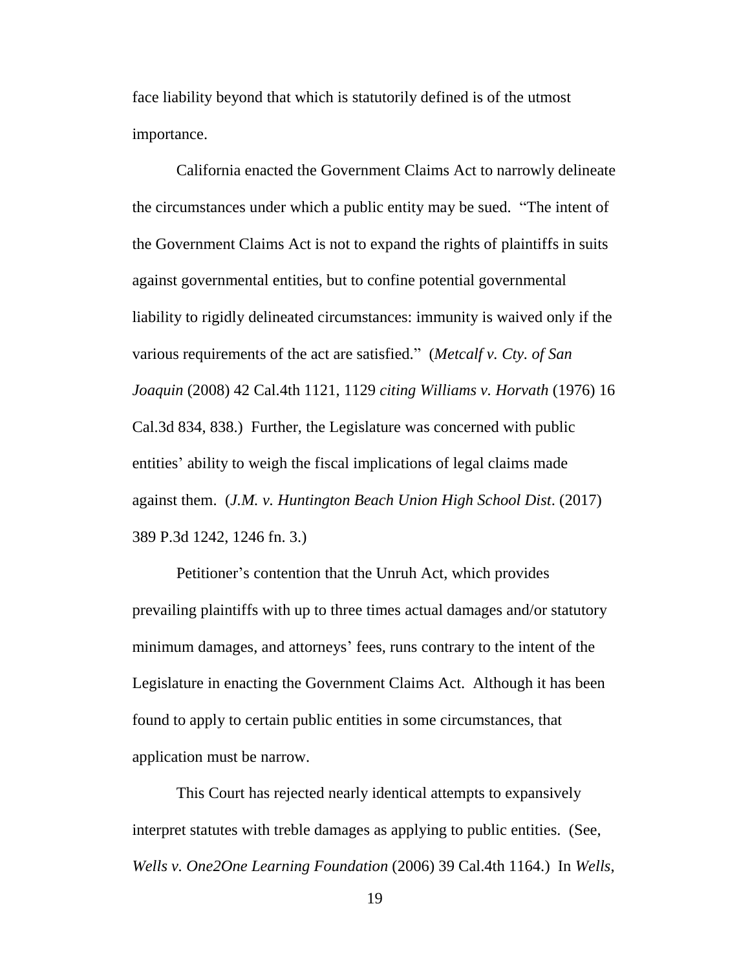face liability beyond that which is statutorily defined is of the utmost importance.

California enacted the Government Claims Act to narrowly delineate the circumstances under which a public entity may be sued. "The intent of the Government Claims Act is not to expand the rights of plaintiffs in suits against governmental entities, but to confine potential governmental liability to rigidly delineated circumstances: immunity is waived only if the various requirements of the act are satisfied." (*Metcalf v. Cty. of San Joaquin* (2008) 42 Cal.4th 1121, 1129 *citing Williams v. Horvath* (1976) 16 Cal.3d 834, 838.) Further, the Legislature was concerned with public entities' ability to weigh the fiscal implications of legal claims made against them. (*J.M. v. Huntington Beach Union High School Dist*. (2017) 389 P.3d 1242, 1246 fn. 3.)

Petitioner's contention that the Unruh Act, which provides prevailing plaintiffs with up to three times actual damages and/or statutory minimum damages, and attorneys' fees, runs contrary to the intent of the Legislature in enacting the Government Claims Act. Although it has been found to apply to certain public entities in some circumstances, that application must be narrow.

This Court has rejected nearly identical attempts to expansively interpret statutes with treble damages as applying to public entities. (See, *Wells v. One2One Learning Foundation* (2006) 39 Cal.4th 1164.) In *Wells*,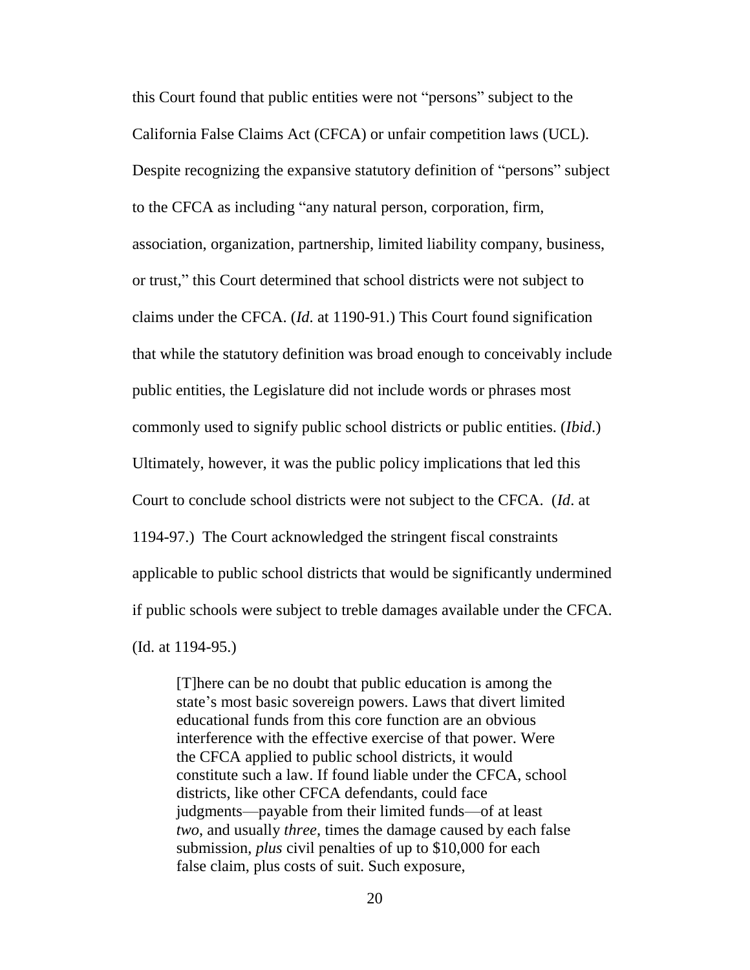this Court found that public entities were not "persons" subject to the California False Claims Act (CFCA) or unfair competition laws (UCL). Despite recognizing the expansive statutory definition of "persons" subject to the CFCA as including "any natural person, corporation, firm, association, organization, partnership, limited liability company, business, or trust," this Court determined that school districts were not subject to claims under the CFCA. (*Id*. at 1190-91.) This Court found signification that while the statutory definition was broad enough to conceivably include public entities, the Legislature did not include words or phrases most commonly used to signify public school districts or public entities. (*Ibid*.) Ultimately, however, it was the public policy implications that led this Court to conclude school districts were not subject to the CFCA. (*Id*. at 1194-97.) The Court acknowledged the stringent fiscal constraints applicable to public school districts that would be significantly undermined if public schools were subject to treble damages available under the CFCA. (Id. at 1194-95.)

[T]here can be no doubt that public education is among the state's most basic sovereign powers. Laws that divert limited educational funds from this core function are an obvious interference with the effective exercise of that power. Were the CFCA applied to public school districts, it would constitute such a law. If found liable under the CFCA, school districts, like other CFCA defendants, could face judgments—payable from their limited funds—of at least *two*, and usually *three*, times the damage caused by each false submission, *plus* civil penalties of up to \$10,000 for each false claim, plus costs of suit. Such exposure,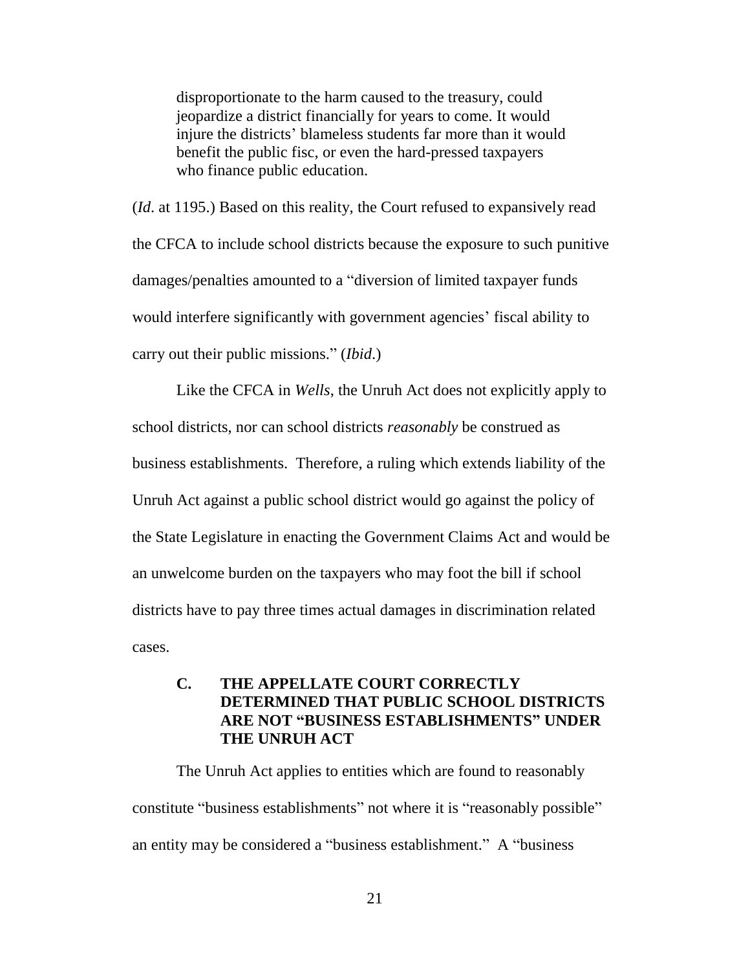disproportionate to the harm caused to the treasury, could jeopardize a district financially for years to come. It would injure the districts' blameless students far more than it would benefit the public fisc, or even the hard-pressed taxpayers who finance public education.

(*Id*. at 1195.) Based on this reality, the Court refused to expansively read the CFCA to include school districts because the exposure to such punitive damages/penalties amounted to a "diversion of limited taxpayer funds would interfere significantly with government agencies' fiscal ability to carry out their public missions." (*Ibid*.)

Like the CFCA in *Wells*, the Unruh Act does not explicitly apply to school districts, nor can school districts *reasonably* be construed as business establishments. Therefore, a ruling which extends liability of the Unruh Act against a public school district would go against the policy of the State Legislature in enacting the Government Claims Act and would be an unwelcome burden on the taxpayers who may foot the bill if school districts have to pay three times actual damages in discrimination related cases.

## **C. THE APPELLATE COURT CORRECTLY DETERMINED THAT PUBLIC SCHOOL DISTRICTS ARE NOT "BUSINESS ESTABLISHMENTS" UNDER THE UNRUH ACT**

The Unruh Act applies to entities which are found to reasonably constitute "business establishments" not where it is "reasonably possible" an entity may be considered a "business establishment." A "business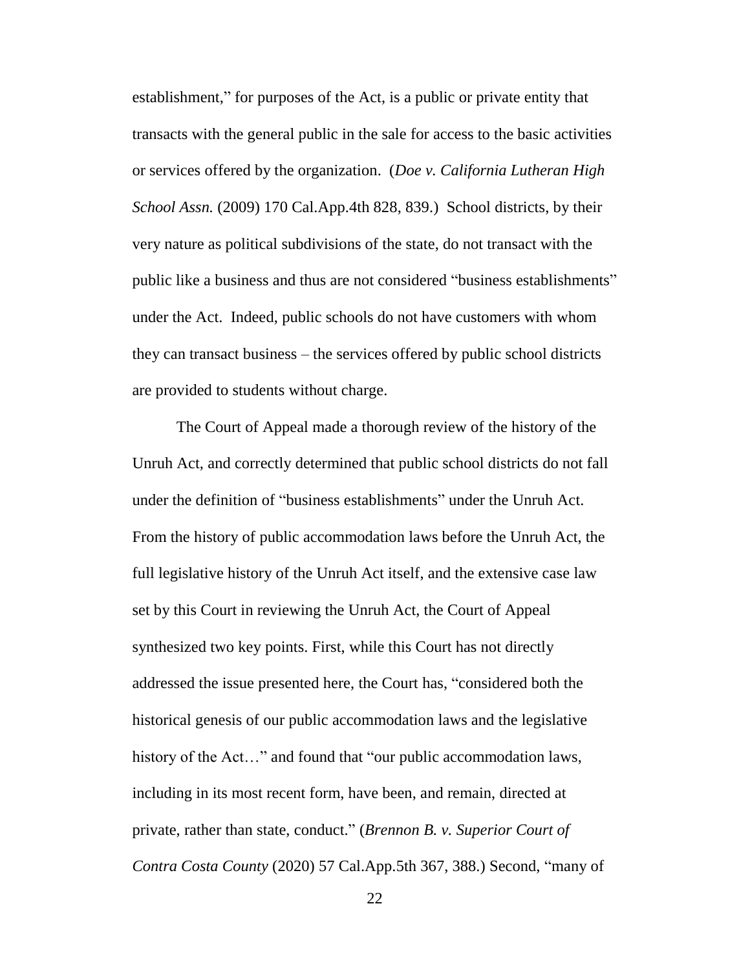establishment," for purposes of the Act, is a public or private entity that transacts with the general public in the sale for access to the basic activities or services offered by the organization. (*Doe v. California Lutheran High School Assn.* (2009) 170 Cal.App.4th 828, 839.) School districts, by their very nature as political subdivisions of the state, do not transact with the public like a business and thus are not considered "business establishments" under the Act. Indeed, public schools do not have customers with whom they can transact business – the services offered by public school districts are provided to students without charge.

The Court of Appeal made a thorough review of the history of the Unruh Act, and correctly determined that public school districts do not fall under the definition of "business establishments" under the Unruh Act. From the history of public accommodation laws before the Unruh Act, the full legislative history of the Unruh Act itself, and the extensive case law set by this Court in reviewing the Unruh Act, the Court of Appeal synthesized two key points. First, while this Court has not directly addressed the issue presented here, the Court has, "considered both the historical genesis of our public accommodation laws and the legislative history of the Act..." and found that "our public accommodation laws, including in its most recent form, have been, and remain, directed at private, rather than state, conduct." (*Brennon B. v. Superior Court of Contra Costa County* (2020) 57 Cal.App.5th 367, 388.) Second, "many of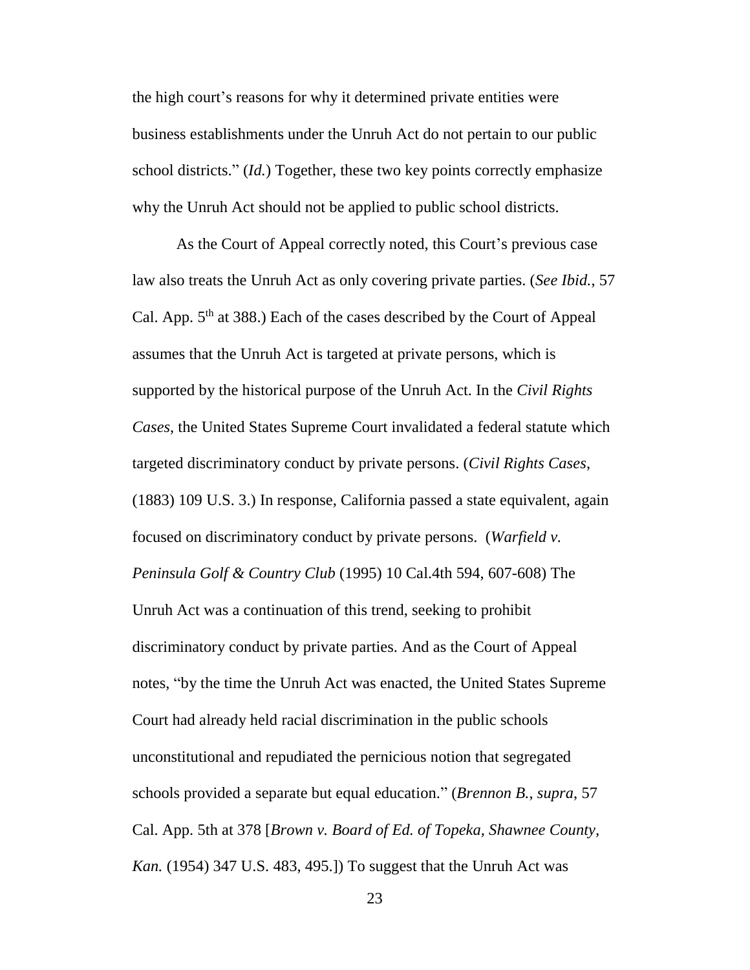the high court's reasons for why it determined private entities were business establishments under the Unruh Act do not pertain to our public school districts." (*Id.*) Together, these two key points correctly emphasize why the Unruh Act should not be applied to public school districts.

As the Court of Appeal correctly noted, this Court's previous case law also treats the Unruh Act as only covering private parties. (*See Ibid.*, 57 Cal. App.  $5<sup>th</sup>$  at 388.) Each of the cases described by the Court of Appeal assumes that the Unruh Act is targeted at private persons, which is supported by the historical purpose of the Unruh Act. In the *Civil Rights Cases*, the United States Supreme Court invalidated a federal statute which targeted discriminatory conduct by private persons. (*Civil Rights Cases*, (1883) 109 U.S. 3.) In response, California passed a state equivalent, again focused on discriminatory conduct by private persons. (*Warfield v. Peninsula Golf & Country Club* (1995) 10 Cal.4th 594, 607-608) The Unruh Act was a continuation of this trend, seeking to prohibit discriminatory conduct by private parties. And as the Court of Appeal notes, "by the time the Unruh Act was enacted, the United States Supreme Court had already held racial discrimination in the public schools unconstitutional and repudiated the pernicious notion that segregated schools provided a separate but equal education." (*Brennon B.*, *supra*, 57 Cal. App. 5th at 378 [*Brown v. Board of Ed. of Topeka, Shawnee County, Kan.* (1954) 347 U.S. 483, 495.]) To suggest that the Unruh Act was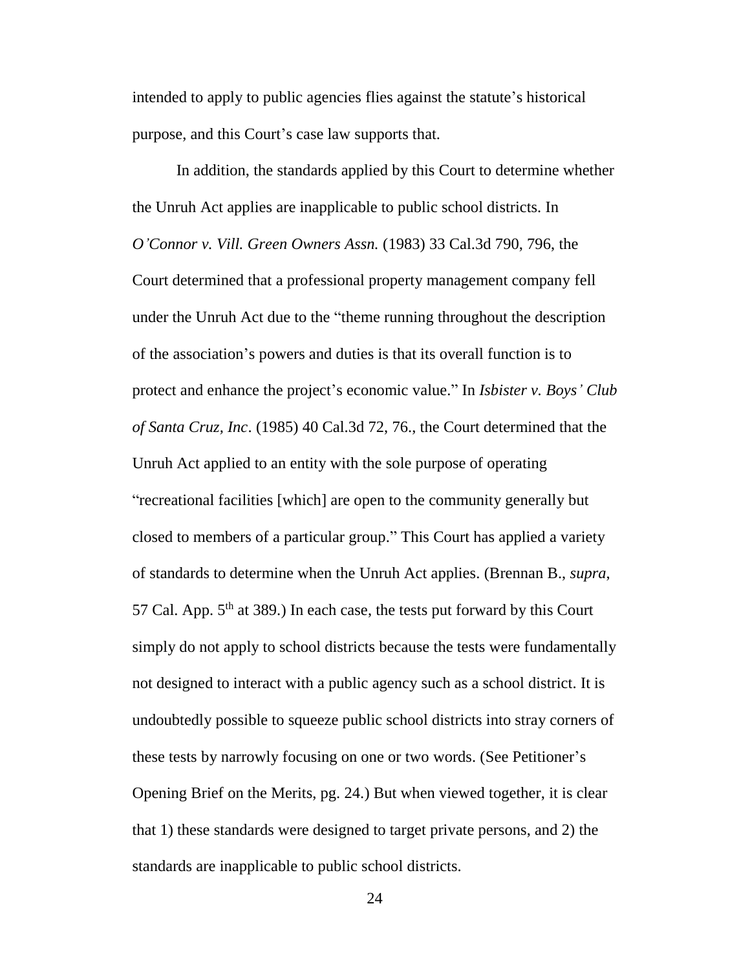intended to apply to public agencies flies against the statute's historical purpose, and this Court's case law supports that.

In addition, the standards applied by this Court to determine whether the Unruh Act applies are inapplicable to public school districts. In *O'Connor v. Vill. Green Owners Assn.* (1983) 33 Cal.3d 790, 796, the Court determined that a professional property management company fell under the Unruh Act due to the "theme running throughout the description of the association's powers and duties is that its overall function is to protect and enhance the project's economic value." In *Isbister v. Boys' Club of Santa Cruz, Inc*. (1985) 40 Cal.3d 72, 76., the Court determined that the Unruh Act applied to an entity with the sole purpose of operating "recreational facilities [which] are open to the community generally but closed to members of a particular group." This Court has applied a variety of standards to determine when the Unruh Act applies. (Brennan B., *supra*, 57 Cal. App.  $5<sup>th</sup>$  at 389.) In each case, the tests put forward by this Court simply do not apply to school districts because the tests were fundamentally not designed to interact with a public agency such as a school district. It is undoubtedly possible to squeeze public school districts into stray corners of these tests by narrowly focusing on one or two words. (See Petitioner's Opening Brief on the Merits, pg. 24.) But when viewed together, it is clear that 1) these standards were designed to target private persons, and 2) the standards are inapplicable to public school districts.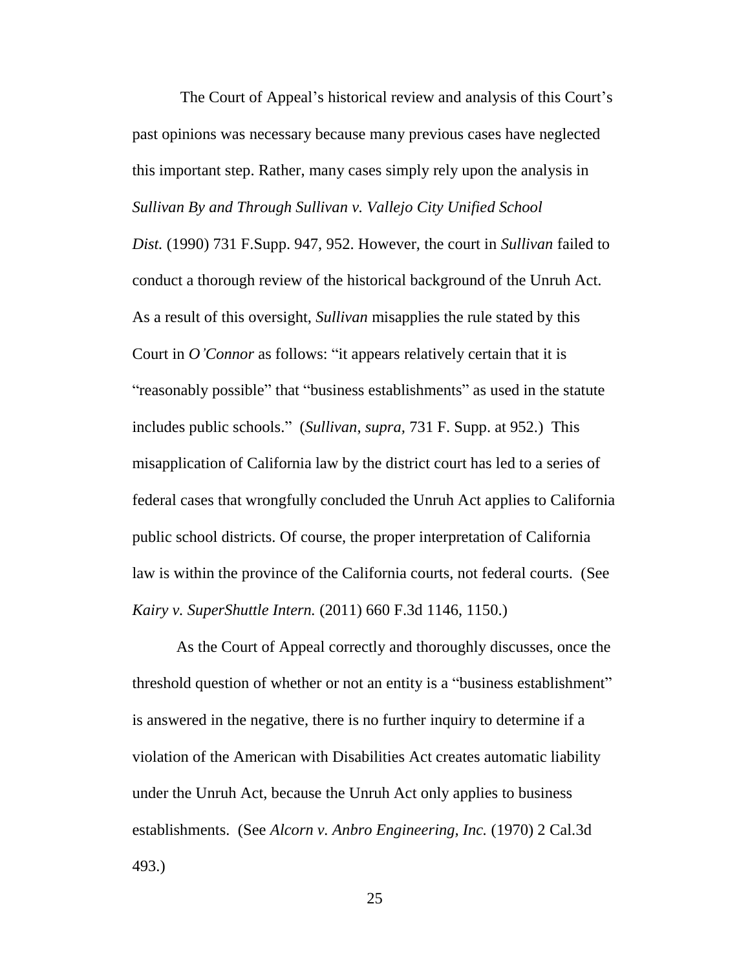The Court of Appeal's historical review and analysis of this Court's past opinions was necessary because many previous cases have neglected this important step. Rather, many cases simply rely upon the analysis in *Sullivan By and Through Sullivan v. Vallejo City Unified School* 

*Dist.* (1990) 731 F.Supp. 947, 952. However, the court in *Sullivan* failed to conduct a thorough review of the historical background of the Unruh Act. As a result of this oversight, *Sullivan* misapplies the rule stated by this Court in *O'Connor* as follows: "it appears relatively certain that it is "reasonably possible" that "business establishments" as used in the statute includes public schools." (*Sullivan*, *supra,* 731 F. Supp. at 952.) This misapplication of California law by the district court has led to a series of federal cases that wrongfully concluded the Unruh Act applies to California public school districts. Of course, the proper interpretation of California law is within the province of the California courts, not federal courts. (See *Kairy v. SuperShuttle Intern.* (2011) 660 F.3d 1146, 1150.)

As the Court of Appeal correctly and thoroughly discusses, once the threshold question of whether or not an entity is a "business establishment" is answered in the negative, there is no further inquiry to determine if a violation of the American with Disabilities Act creates automatic liability under the Unruh Act, because the Unruh Act only applies to business establishments. (See *Alcorn v. Anbro Engineering, Inc.* (1970) 2 Cal.3d 493.)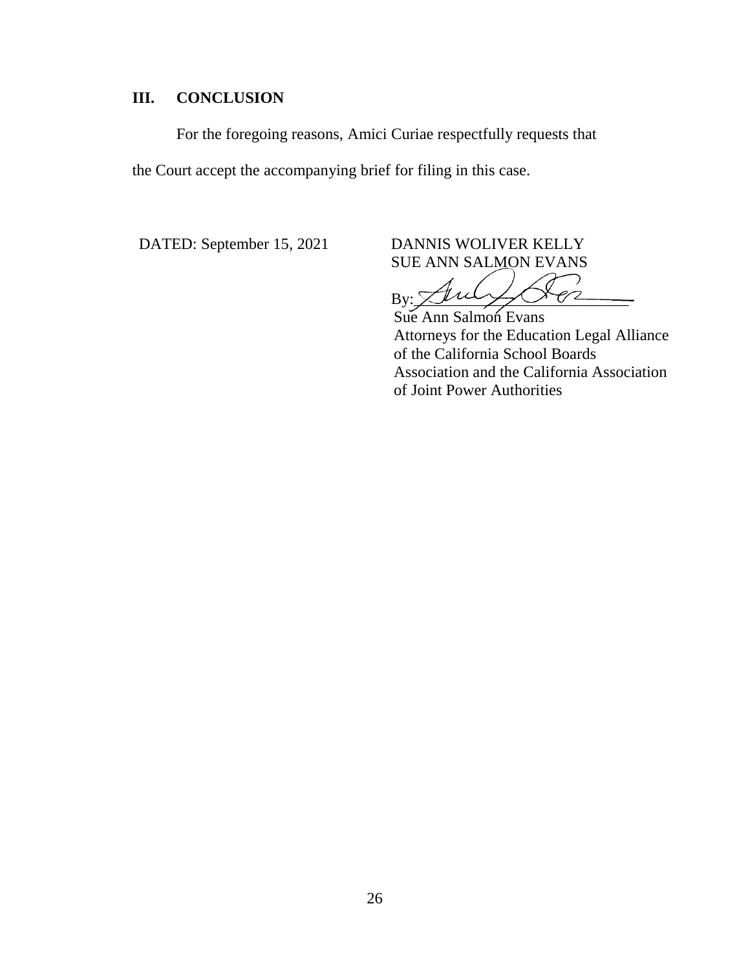# **III. CONCLUSION**

For the foregoing reasons, Amici Curiae respectfully requests that the Court accept the accompanying brief for filing in this case.

DATED: September 15, 2021 DANNIS WOLIVER KELLY SUE ANN SALMON EVANS

⊃  $By: \ \ \mathcal{L}$ 

Sue Ann Salmon Evans Attorneys for the Education Legal Alliance of the California School Boards Association and the California Association of Joint Power Authorities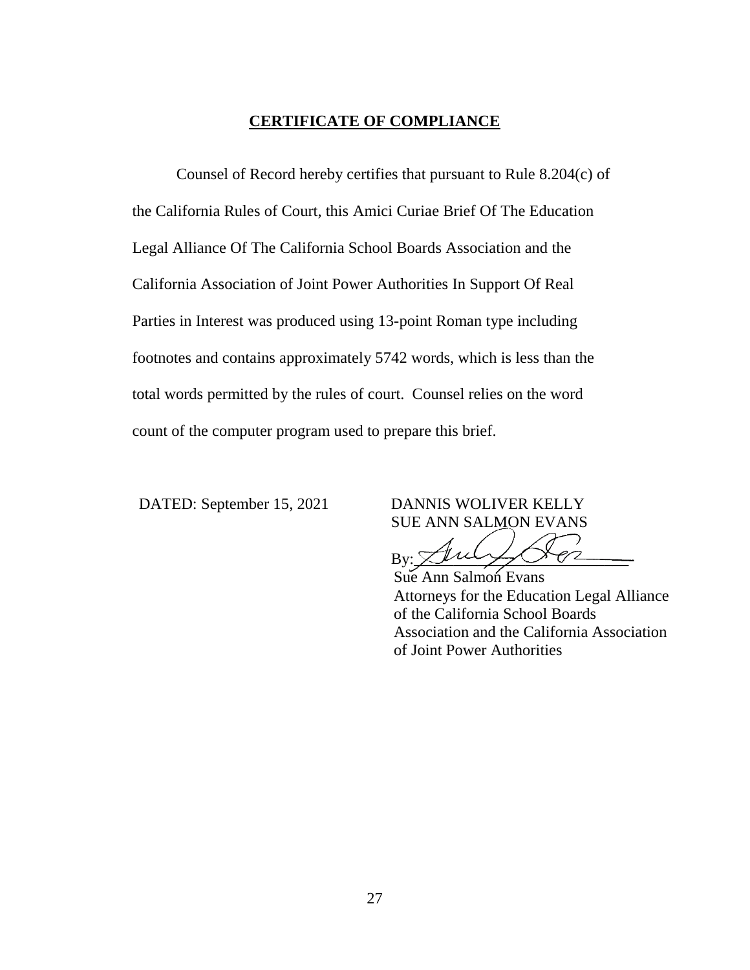#### **CERTIFICATE OF COMPLIANCE**

Counsel of Record hereby certifies that pursuant to Rule 8.204(c) of the California Rules of Court, this Amici Curiae Brief Of The Education Legal Alliance Of The California School Boards Association and the California Association of Joint Power Authorities In Support Of Real Parties in Interest was produced using 13-point Roman type including footnotes and contains approximately 5742 words, which is less than the total words permitted by the rules of court. Counsel relies on the word count of the computer program used to prepare this brief.

DATED: September 15, 2021 DANNIS WOLIVER KELLY SUE ANN SALMON EVANS

 $B$ y: Thury Co

Sue Ann Salmon Evans Attorneys for the Education Legal Alliance of the California School Boards Association and the California Association of Joint Power Authorities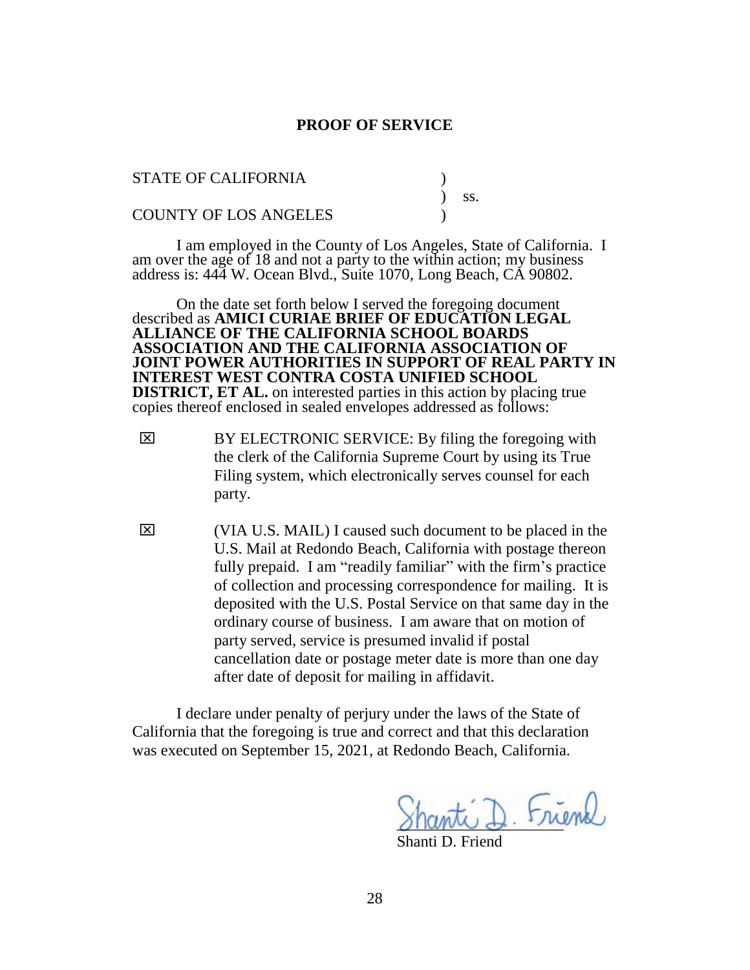#### **PROOF OF SERVICE**

| <b>STATE OF CALIFORNIA</b>   |         |  |
|------------------------------|---------|--|
|                              | $)$ SS. |  |
| <b>COUNTY OF LOS ANGELES</b> |         |  |

I am employed in the County of Los Angeles, State of California. I am over the age of 18 and not a party to the within action; my business address is: 444 W. Ocean Blvd., Suite 1070, Long Beach, CA 90802.

On the date set forth below I served the foregoing document described as **AMICI CURIAE BRIEF OF EDUCATION LEGAL ALLIANCE OF THE CALIFORNIA SCHOOL BOARDS ASSOCIATION AND THE CALIFORNIA ASSOCIATION OF JOINT POWER AUTHORITIES IN SUPPORT OF REAL PARTY IN INTEREST WEST CONTRA COSTA UNIFIED SCHOOL DISTRICT, ET AL.** on interested parties in this action by placing true copies thereof enclosed in sealed envelopes addressed as follows:

- $\boxtimes$  BY ELECTRONIC SERVICE: By filing the foregoing with the clerk of the California Supreme Court by using its True Filing system, which electronically serves counsel for each party.
- $\boxtimes$  (VIA U.S. MAIL) I caused such document to be placed in the U.S. Mail at Redondo Beach, California with postage thereon fully prepaid. I am "readily familiar" with the firm's practice of collection and processing correspondence for mailing. It is deposited with the U.S. Postal Service on that same day in the ordinary course of business. I am aware that on motion of party served, service is presumed invalid if postal cancellation date or postage meter date is more than one day after date of deposit for mailing in affidavit.

I declare under penalty of perjury under the laws of the State of California that the foregoing is true and correct and that this declaration was executed on September 15, 2021, at Redondo Beach, California.

\_\_\_\_\_\_\_\_\_\_\_\_\_\_\_\_\_\_\_\_\_

Shanti D. Friend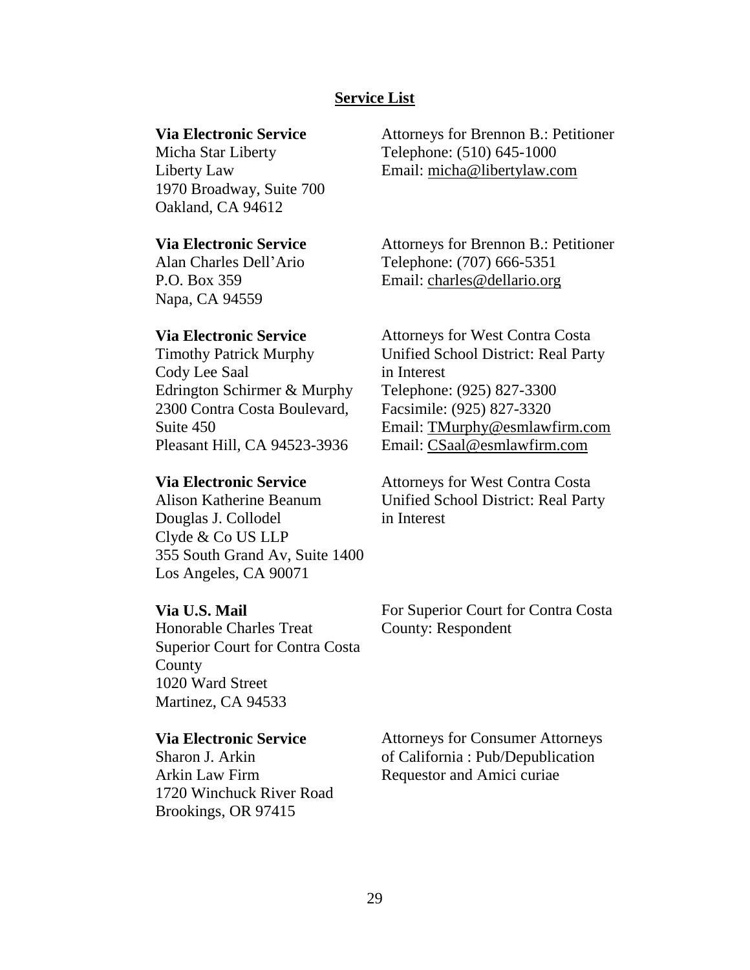#### **Service List**

### **Via Electronic Service**

Micha Star Liberty Liberty Law 1970 Broadway, Suite 700 Oakland, CA 94612

#### **Via Electronic Service**

Alan Charles Dell'Ario P.O. Box 359 Napa, CA 94559

#### **Via Electronic Service**

Timothy Patrick Murphy Cody Lee Saal Edrington Schirmer & Murphy 2300 Contra Costa Boulevard, Suite 450 Pleasant Hill, CA 94523-3936

#### **Via Electronic Service**

Alison Katherine Beanum Douglas J. Collodel Clyde & Co US LLP 355 South Grand Av, Suite 1400 Los Angeles, CA 90071

## **Via U.S. Mail**

Honorable Charles Treat Superior Court for Contra Costa County 1020 Ward Street Martinez, CA 94533

#### **Via Electronic Service**

Sharon J. Arkin Arkin Law Firm 1720 Winchuck River Road Brookings, OR 97415

Attorneys for Brennon B.: Petitioner Telephone: (510) 645-1000 Email: [micha@libertylaw.com](mailto:micha@libertylaw.com)

Attorneys for Brennon B.: Petitioner Telephone: (707) 666-5351 Email: [charles@dellario.org](mailto:charles@dellario.org)

Attorneys for West Contra Costa Unified School District: Real Party in Interest Telephone: (925) 827-3300 Facsimile: (925) 827-3320 Email: [TMurphy@esmlawfirm.com](mailto:TMurphy@esmlawfirm.com) Email: [CSaal@esmlawfirm.com](mailto:CSaal@esmlawfirm.com)

Attorneys for West Contra Costa Unified School District: Real Party in Interest

For Superior Court for Contra Costa County: Respondent

Attorneys for Consumer Attorneys of California : Pub/Depublication Requestor and Amici curiae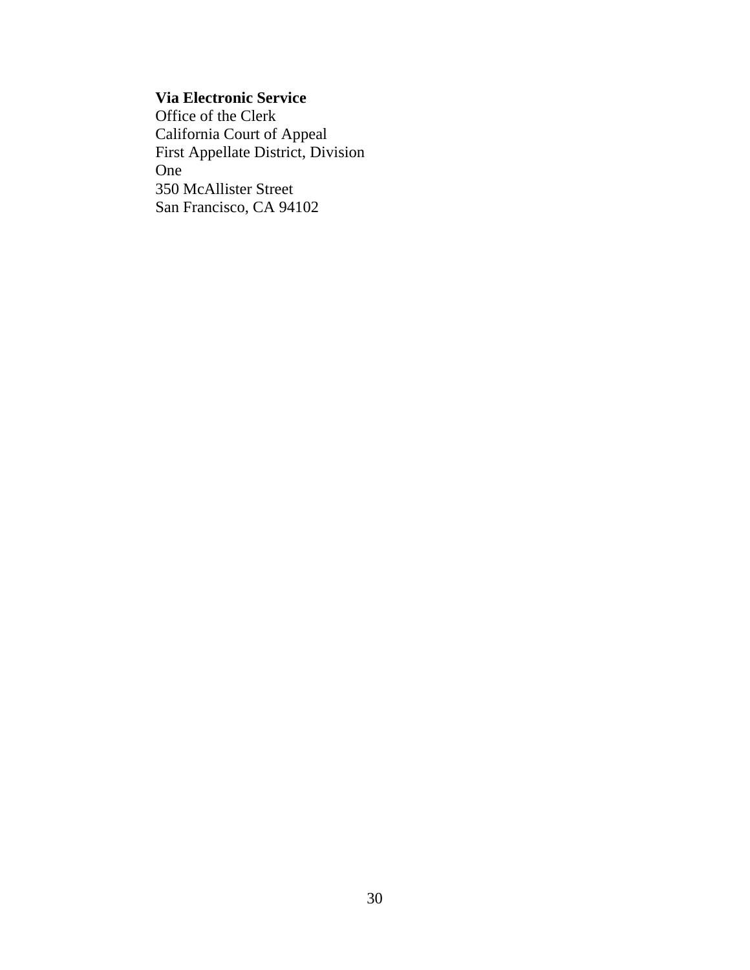# **Via Electronic Service**

Office of the Clerk California Court of Appeal First Appellate District, Division One 350 McAllister Street San Francisco, CA 94102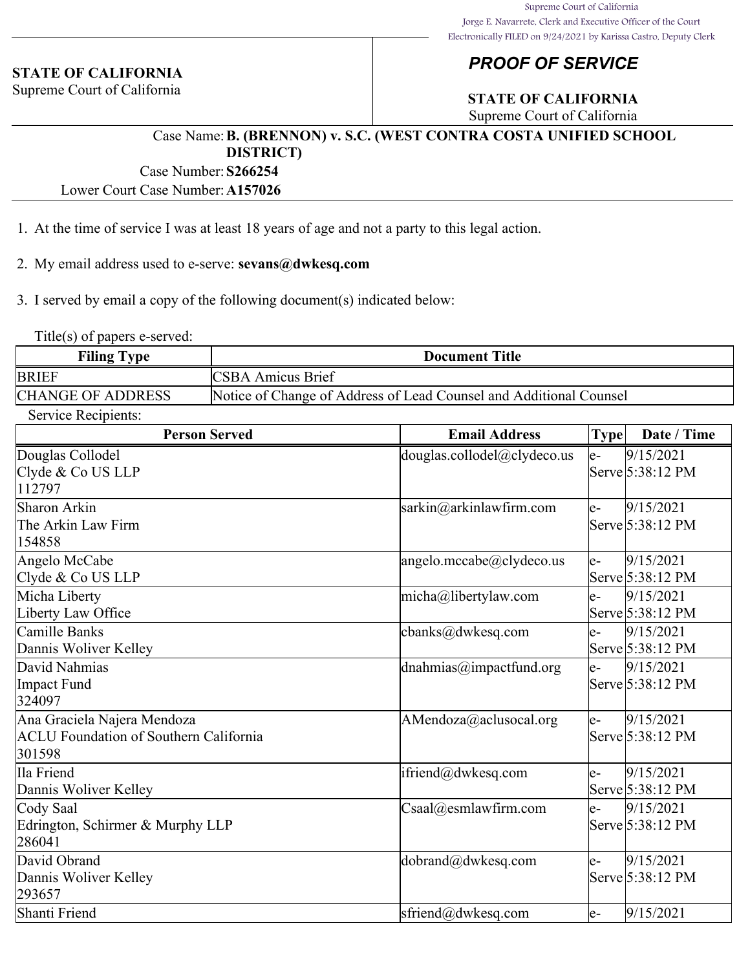#### **STATE OF CALIFORNIA**

Supreme Court of California

# *PROOF OF SERVICE*

# **STATE OF CALIFORNIA**

Supreme Court of California

#### Case Name:**B. (BRENNON) v. S.C. (WEST CONTRA COSTA UNIFIED SCHOOL DISTRICT)**

Case Number:**S266254**

Lower Court Case Number:**A157026**

- 1. At the time of service I was at least 18 years of age and not a party to this legal action.
- 2. My email address used to e-serve: **sevans@dwkesq.com**

3. I served by email a copy of the following document(s) indicated below:

Title(s) of papers e-served:

| <b>Filing Type</b>       | <b>Document Title</b>                                              |
|--------------------------|--------------------------------------------------------------------|
| <b>BRIEF</b>             | <b>CSBA Amicus Brief</b>                                           |
| <b>CHANGE OF ADDRESS</b> | Notice of Change of Address of Lead Counsel and Additional Counsel |
|                          |                                                                    |

Service Recipients:

| <b>Person Served</b>                          | <b>Email Address</b>                       | <b>Type</b>          | Date / Time      |
|-----------------------------------------------|--------------------------------------------|----------------------|------------------|
| Douglas Collodel                              | douglas.collodel@clydeco.us                | le-                  | 9/15/2021        |
| Clyde & Co US LLP                             |                                            |                      | Serve 5:38:12 PM |
| 112797                                        |                                            |                      |                  |
| Sharon Arkin                                  | sarkin@arkinlawfirm.com                    | le-                  | 9/15/2021        |
| The Arkin Law Firm                            |                                            |                      | Serve 5:38:12 PM |
| 154858                                        |                                            |                      |                  |
| Angelo McCabe                                 | angelo.mccabe@clydeco.us                   | le-                  | 9/15/2021        |
| Clyde & Co US LLP                             |                                            |                      | Serve 5:38:12 PM |
| Micha Liberty                                 | micha@libertylaw.com                       | $\mathsf{e}\text{-}$ | 9/15/2021        |
| Liberty Law Office                            |                                            |                      | Serve 5:38:12 PM |
| Camille Banks                                 | $\text{cbanks}(\hat{\omega})$ dwkesq.com   | le-                  | 9/15/2021        |
| Dannis Woliver Kelley                         |                                            |                      | Serve 5:38:12 PM |
| David Nahmias                                 | $d$ nahmias@impactfund.org                 | le-                  | 9/15/2021        |
| Impact Fund                                   |                                            |                      | Serve 5:38:12 PM |
| 324097                                        |                                            |                      |                  |
| Ana Graciela Najera Mendoza                   | AMendoza@aclusocal.org                     | le-                  | 9/15/2021        |
| <b>ACLU Foundation of Southern California</b> |                                            |                      | Serve 5:38:12 PM |
| 301598                                        |                                            |                      |                  |
| Ila Friend                                    | ifriend@dwkesq.com                         | le-                  | 9/15/2021        |
| Dannis Woliver Kelley                         |                                            |                      | Serve 5:38:12 PM |
| Cody Saal                                     | $\text{Csaa}l(\widehat{a})$ esmlawfirm.com | le-                  | 9/15/2021        |
| Edrington, Schirmer & Murphy LLP              |                                            |                      | Serve 5:38:12 PM |
| 286041                                        |                                            |                      |                  |
| David Obrand                                  | dobrand@dwkesq.com                         | le-                  | 9/15/2021        |
| Dannis Woliver Kelley                         |                                            |                      | Serve 5:38:12 PM |
| 293657                                        |                                            |                      |                  |
| Shanti Friend                                 | sfriend@dwkesq.com                         | le-                  | 9/15/2021        |